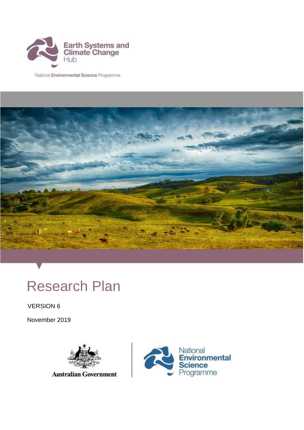

National Environmental Science Programme



# Research Plan

VERSION 6

November 2019



**Australian Government** 

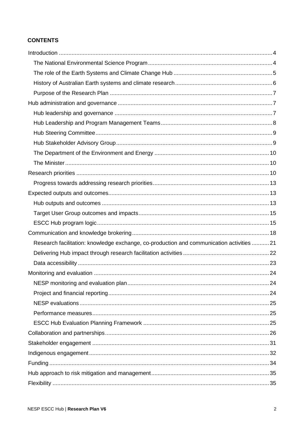#### **CONTENTS**

| Research facilitation: knowledge exchange, co-production and communication activities 21 |  |
|------------------------------------------------------------------------------------------|--|
|                                                                                          |  |
|                                                                                          |  |
|                                                                                          |  |
|                                                                                          |  |
|                                                                                          |  |
|                                                                                          |  |
|                                                                                          |  |
|                                                                                          |  |
|                                                                                          |  |
|                                                                                          |  |
|                                                                                          |  |
|                                                                                          |  |
|                                                                                          |  |
|                                                                                          |  |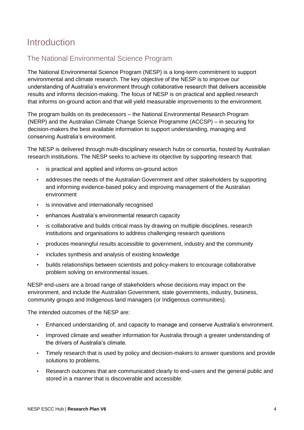## <span id="page-3-0"></span>Introduction

## <span id="page-3-1"></span>The National Environmental Science Program

The National Environmental Science Program (NESP) is a long-term commitment to support environmental and climate research. The key objective of the NESP is to improve our understanding of Australia's environment through collaborative research that delivers accessible results and informs decision-making. The focus of NESP is on practical and applied research that informs on-ground action and that will yield measurable improvements to the environment.

The program builds on its predecessors – the National Environmental Research Program (NERP) and the Australian Climate Change Science Programme (ACCSP) – in securing for decision-makers the best available information to support understanding, managing and conserving Australia's environment.

The NESP is delivered through multi-disciplinary research hubs or consortia, hosted by Australian research institutions. The NESP seeks to achieve its objective by supporting research that:

- is practical and applied and informs on-ground action
- addresses the needs of the Australian Government and other stakeholders by supporting and informing evidence-based policy and improving management of the Australian environment
- is innovative and internationally recognised
- enhances Australia's environmental research capacity
- is collaborative and builds critical mass by drawing on multiple disciplines, research institutions and organisations to address challenging research questions
- produces meaningful results accessible to government, industry and the community
- includes synthesis and analysis of existing knowledge
- builds relationships between scientists and policy-makers to encourage collaborative problem solving on environmental issues.

NESP end-users are a broad range of stakeholders whose decisions may impact on the environment, and include the Australian Government, state governments, industry, business, community groups and Indigenous land managers (or Indigenous communities).

The intended outcomes of the NESP are:

- Enhanced understanding of, and capacity to manage and conserve Australia's environment.
- Improved climate and weather information for Australia through a greater understanding of the drivers of Australia's climate.
- Timely research that is used by policy and decision-makers to answer questions and provide solutions to problems.
- Research outcomes that are communicated clearly to end-users and the general public and stored in a manner that is discoverable and accessible.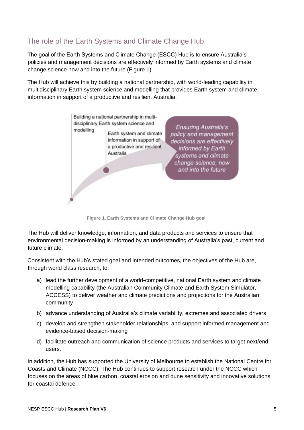## <span id="page-4-0"></span>The role of the Earth Systems and Climate Change Hub

The goal of the Earth Systems and Climate Change (ESCC) Hub is to ensure Australia's policies and management decisions are effectively informed by Earth systems and climate change science now and into the future (Figure 1).

The Hub will achieve this by building a national partnership, with world-leading capability in multidisciplinary Earth system science and modelling that provides Earth system and climate information in support of a productive and resilient Australia.



**Figure 1. Earth Systems and Climate Change Hub goal**

The Hub will deliver knowledge, information, and data products and services to ensure that environmental decision-making is informed by an understanding of Australia's past, current and future climate.

Consistent with the Hub's stated goal and intended outcomes, the objectives of the Hub are, through world class research, to:

- a) lead the further development of a world-competitive, national Earth system and climate modelling capability (the Australian Community Climate and Earth System Simulator, ACCESS) to deliver weather and climate predictions and projections for the Australian community
- b) advance understanding of Australia's climate variability, extremes and associated drivers
- c) develop and strengthen stakeholder relationships, and support informed management and evidence-based decision-making
- d) facilitate outreach and communication of science products and services to target next/endusers.

In addition, the Hub has supported the University of Melbourne to establish the National Centre for Coasts and Climate (NCCC). The Hub continues to support research under the NCCC which focuses on the areas of blue carbon, coastal erosion and dune sensitivity and innovative solutions for coastal defence.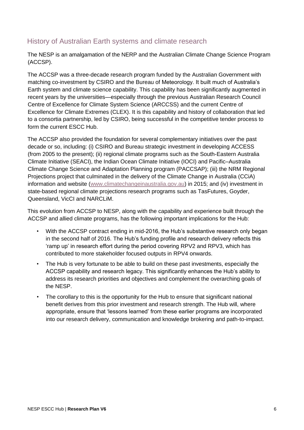## <span id="page-5-0"></span>History of Australian Earth systems and climate research

The NESP is an amalgamation of the NERP and the Australian Climate Change Science Program (ACCSP).

The ACCSP was a three-decade research program funded by the Australian Government with matching co-investment by CSIRO and the Bureau of Meteorology. It built much of Australia's Earth system and climate science capability. This capability has been significantly augmented in recent years by the universities—especially through the previous Australian Research Council Centre of Excellence for Climate System Science (ARCCSS) and the current Centre of Excellence for Climate Extremes (CLEX). It is this capability and history of collaboration that led to a consortia partnership, led by CSIRO, being successful in the competitive tender process to form the current ESCC Hub.

The ACCSP also provided the foundation for several complementary initiatives over the past decade or so, including: (i) CSIRO and Bureau strategic investment in developing ACCESS (from 2005 to the present); (ii) regional climate programs such as the South-Eastern Australia Climate Initiative (SEACI), the Indian Ocean Climate Initiative (IOCI) and Pacific–Australia Climate Change Science and Adaptation Planning program (PACCSAP); (iii) the NRM Regional Projections project that culminated in the delivery of the Climate Change in Australia (CCiA) information and website [\(www.climatechangeinaustralia.gov.au\)](http://www.climatechangeinaustralia.gov.au/) in 2015; and (iv) investment in state-based regional climate projections research programs such as TasFutures, Goyder, Queensland, VicCI and NARCLiM.

This evolution from ACCSP to NESP, along with the capability and experience built through the ACCSP and allied climate programs, has the following important implications for the Hub:

- With the ACCSP contract ending in mid-2016, the Hub's substantive research only began in the second half of 2016. The Hub's funding profile and research delivery reflects this 'ramp up' in research effort during the period covering RPV2 and RPV3, which has contributed to more stakeholder focused outputs in RPV4 onwards.
- The Hub is very fortunate to be able to build on these past investments, especially the ACCSP capability and research legacy. This significantly enhances the Hub's ability to address its research priorities and objectives and complement the overarching goals of the NESP.
- The corollary to this is the opportunity for the Hub to ensure that significant national benefit derives from this prior investment and research strength. The Hub will, where appropriate, ensure that 'lessons learned' from these earlier programs are incorporated into our research delivery, communication and knowledge brokering and path-to-impact.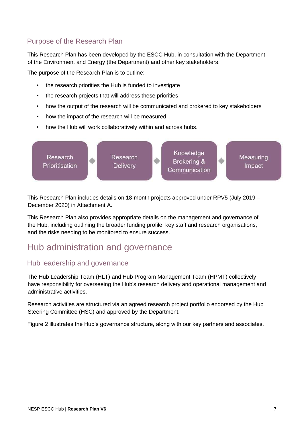## <span id="page-6-0"></span>Purpose of the Research Plan

This Research Plan has been developed by the ESCC Hub, in consultation with the Department of the Environment and Energy (the Department) and other key stakeholders.

The purpose of the Research Plan is to outline:

- the research priorities the Hub is funded to investigate
- the research projects that will address these priorities
- how the output of the research will be communicated and brokered to key stakeholders
- how the impact of the research will be measured
- how the Hub will work collaboratively within and across hubs.



This Research Plan includes details on 18-month projects approved under RPV5 (July 2019 – December 2020) in Attachment A.

This Research Plan also provides appropriate details on the management and governance of the Hub, including outlining the broader funding profile, key staff and research organisations, and the risks needing to be monitored to ensure success.

## <span id="page-6-1"></span>Hub administration and governance

### <span id="page-6-2"></span>Hub leadership and governance

The Hub Leadership Team (HLT) and Hub Program Management Team (HPMT) collectively have responsibility for overseeing the Hub's research delivery and operational management and administrative activities.

Research activities are structured via an agreed research project portfolio endorsed by the Hub Steering Committee (HSC) and approved by the Department.

Figure 2 illustrates the Hub's governance structure, along with our key partners and associates.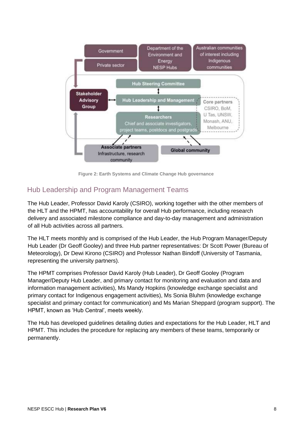

**Figure 2: Earth Systems and Climate Change Hub governance**

## <span id="page-7-0"></span>Hub Leadership and Program Management Teams

The Hub Leader, Professor David Karoly (CSIRO), working together with the other members of the HLT and the HPMT, has accountability for overall Hub performance, including research delivery and associated milestone compliance and day-to-day management and administration of all Hub activities across all partners.

The HLT meets monthly and is comprised of the Hub Leader, the Hub Program Manager/Deputy Hub Leader (Dr Geoff Gooley) and three Hub partner representatives: Dr Scott Power (Bureau of Meteorology), Dr Dewi Kirono (CSIRO) and Professor Nathan Bindoff (University of Tasmania, representing the university partners).

The HPMT comprises Professor David Karoly (Hub Leader), Dr Geoff Gooley (Program Manager/Deputy Hub Leader, and primary contact for monitoring and evaluation and data and information management activities), Ms Mandy Hopkins (knowledge exchange specialist and primary contact for Indigenous engagement activities), Ms Sonia Bluhm (knowledge exchange specialist and primary contact for communication) and Ms Marian Sheppard (program support). The HPMT, known as 'Hub Central', meets weekly.

The Hub has developed guidelines detailing duties and expectations for the Hub Leader, HLT and HPMT. This includes the procedure for replacing any members of these teams, temporarily or permanently.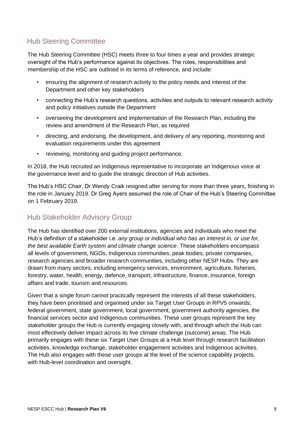## <span id="page-8-0"></span>Hub Steering Committee

The Hub Steering Committee (HSC) meets three to four times a year and provides strategic oversight of the Hub's performance against its objectives. The roles, responsibilities and membership of the HSC are outlined in its terms of reference, and include:

- ensuring the alignment of research activity to the policy needs and interest of the Department and other key stakeholders
- connecting the Hub's research questions, activities and outputs to relevant research activity and policy initiatives outside the Department
- overseeing the development and implementation of the Research Plan, including the review and amendment of the Research Plan, as required
- directing, and endorsing, the development, and delivery of any reporting, monitoring and evaluation requirements under this agreement
- reviewing, monitoring and guiding project performance.

In 2018, the Hub recruited an Indigenous representative to incorporate an Indigenous voice at the governance level and to guide the strategic direction of Hub activities.

The Hub's HSC Chair, Dr Wendy Craik resigned after serving for more than three years, finishing in the role in January 2019. Dr Greg Ayers assumed the role of Chair of the Hub's Steering Committee on 1 February 2019.

## <span id="page-8-1"></span>Hub Stakeholder Advisory Group

The Hub has identified over 200 external institutions, agencies and individuals who meet the Hub's definition of a stakeholder i.e. *any group or individual who has an interest in, or use for, the best available Earth system and climate change science*. These stakeholders encompass all levels of government, NGOs, Indigenous communities, peak bodies, private companies, research agencies and broader research communities, including other NESP Hubs. They are drawn from many sectors, including emergency services, environment, agriculture, fisheries, forestry, water, health, energy, defence, transport, infrastructure, finance, insurance, foreign affairs and trade, tourism and resources.

Given that a single forum cannot practically represent the interests of all these stakeholders, they have been prioritised and organised under six Target User Groups in RPV5 onwards; federal government, state government, local government, government authority agencies, the financial services sector and Indigenous communities. These user groups represent the key stakeholder groups the Hub is currently engaging closely with, and through which the Hub can most effectively deliver impact across its five climate challenge (outcome) areas. The Hub primarily engages with these six Target User Groups at a Hub level through research facilitation activities, knowledge exchange, stakeholder engagement activities and Indigenous activities. The Hub also engages with these user groups at the level of the science capability projects, with Hub-level coordination and oversight.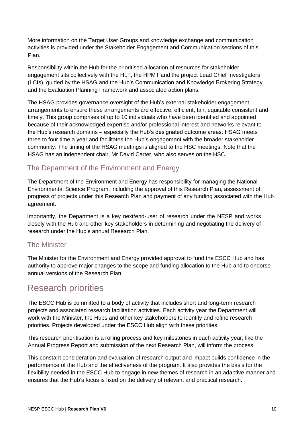More information on the Target User Groups and knowledge exchange and communication activities is provided under the Stakeholder Engagement and Communication sections of this Plan.

Responsibility within the Hub for the prioritised allocation of resources for stakeholder engagement sits collectively with the HLT, the HPMT and the project Lead Chief Investigators (LCIs), guided by the HSAG and the Hub's Communication and Knowledge Brokering Strategy and the Evaluation Planning Framework and associated action plans.

The HSAG provides governance oversight of the Hub's external stakeholder engagement arrangements to ensure these arrangements are effective, efficient, fair, equitable consistent and timely. This group comprises of up to 10 individuals who have been identified and appointed because of their acknowledged expertise and/or professional interest and networks relevant to the Hub's research domains – especially the Hub's designated outcome areas. HSAG meets three to four time a year and facilitates the Hub's engagement with the broader stakeholder community. The timing of the HSAG meetings is aligned to the HSC meetings. Note that the HSAG has an independent chair, Mr David Carter, who also serves on the HSC.

## <span id="page-9-0"></span>The Department of the Environment and Energy

The Department of the Environment and Energy has responsibility for managing the National Environmental Science Program, including the approval of this Research Plan, assessment of progress of projects under this Research Plan and payment of any funding associated with the Hub agreement.

Importantly, the Department is a key next/end-user of research under the NESP and works closely with the Hub and other key stakeholders in determining and negotiating the delivery of research under the Hub's annual Research Plan.

### <span id="page-9-1"></span>The Minister

The Minister for the Environment and Energy provided approval to fund the ESCC Hub and has authority to approve major changes to the scope and funding allocation to the Hub and to endorse annual versions of the Research Plan.

## <span id="page-9-2"></span>Research priorities

The ESCC Hub is committed to a body of activity that includes short and long-term research projects and associated research facilitation activities. Each activity year the Department will work with the Minister, the Hubs and other key stakeholders to identify and refine research priorities. Projects developed under the ESCC Hub align with these priorities.

This research prioritisation is a rolling process and key milestones in each activity year, like the Annual Progress Report and submission of the next Research Plan, will inform the process.

This constant consideration and evaluation of research output and impact builds confidence in the performance of the Hub and the effectiveness of the program. It also provides the basis for the flexibility needed in the ESCC Hub to engage in new themes of research in an adaptive manner and ensures that the Hub's focus is fixed on the delivery of relevant and practical research.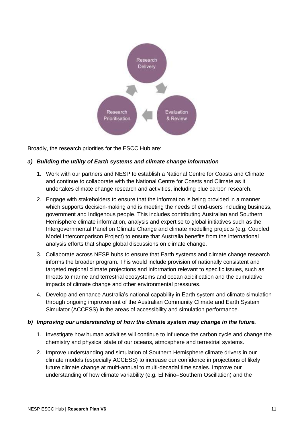

Broadly, the research priorities for the ESCC Hub are:

#### *a) Building the utility of Earth systems and climate change information*

- 1. Work with our partners and NESP to establish a National Centre for Coasts and Climate and continue to collaborate with the National Centre for Coasts and Climate as it undertakes climate change research and activities, including blue carbon research.
- 2. Engage with stakeholders to ensure that the information is being provided in a manner which supports decision-making and is meeting the needs of end-users including business, government and Indigenous people. This includes contributing Australian and Southern Hemisphere climate information, analysis and expertise to global initiatives such as the Intergovernmental Panel on Climate Change and climate modelling projects (e.g. Coupled Model Intercomparison Project) to ensure that Australia benefits from the international analysis efforts that shape global discussions on climate change.
- 3. Collaborate across NESP hubs to ensure that Earth systems and climate change research informs the broader program. This would include provision of nationally consistent and targeted regional climate projections and information relevant to specific issues, such as threats to marine and terrestrial ecosystems and ocean acidification and the cumulative impacts of climate change and other environmental pressures.
- 4. Develop and enhance Australia's national capability in Earth system and climate simulation through ongoing improvement of the Australian Community Climate and Earth System Simulator (ACCESS) in the areas of accessibility and simulation performance.

#### *b) Improving our understanding of how the climate system may change in the future.*

- 1. Investigate how human activities will continue to influence the carbon cycle and change the chemistry and physical state of our oceans, atmosphere and terrestrial systems.
- 2. Improve understanding and simulation of Southern Hemisphere climate drivers in our climate models (especially ACCESS) to increase our confidence in projections of likely future climate change at multi-annual to multi-decadal time scales. Improve our understanding of how climate variability (e.g. El Niño–Southern Oscillation) and the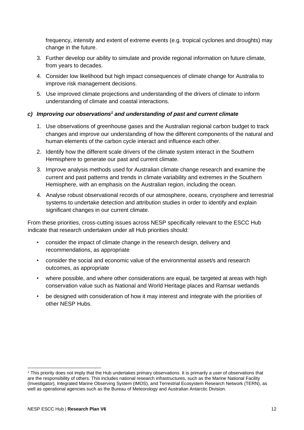frequency, intensity and extent of extreme events (e.g. tropical cyclones and droughts) may change in the future.

- 3. Further develop our ability to simulate and provide regional information on future climate, from years to decades.
- 4. Consider low likelihood but high impact consequences of climate change for Australia to improve risk management decisions.
- 5. Use improved climate projections and understanding of the drivers of climate to inform understanding of climate and coastal interactions.

#### *c) Improving our observations<sup>1</sup> and understanding of past and current climate*

- 1. Use observations of greenhouse gases and the Australian regional carbon budget to track changes and improve our understanding of how the different components of the natural and human elements of the carbon cycle interact and influence each other.
- 2. Identify how the different scale drivers of the climate system interact in the Southern Hemisphere to generate our past and current climate.
- 3. Improve analysis methods used for Australian climate change research and examine the current and past patterns and trends in climate variability and extremes in the Southern Hemisphere, with an emphasis on the Australian region, including the ocean.
- 4. Analyse robust observational records of our atmosphere, oceans, cryosphere and terrestrial systems to undertake detection and attribution studies in order to identify and explain significant changes in our current climate.

From these priorities, cross-cutting issues across NESP specifically relevant to the ESCC Hub indicate that research undertaken under all Hub priorities should:

- consider the impact of climate change in the research design, delivery and recommendations, as appropriate
- consider the social and economic value of the environmental asset/s and research outcomes, as appropriate
- where possible, and where other considerations are equal, be targeted at areas with high conservation value such as National and World Heritage places and Ramsar wetlands
- be designed with consideration of how it may interest and integrate with the priorities of other NESP Hubs.

<sup>1</sup> This priority does not imply that the Hub undertakes primary observations. It is primarily a user of observations that are the responsibility of others. This includes national research infrastructures, such as the Marine National Facility (Investigator), Integrated Marine Observing System (IMOS), and Terrestrial Ecosystem Research Network (TERN), as well as operational agencies such as the Bureau of Meteorology and Australian Antarctic Division.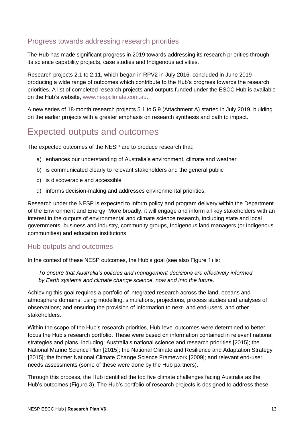## <span id="page-12-0"></span>Progress towards addressing research priorities

The Hub has made significant progress in 2019 towards addressing its research priorities through its science capability projects, case studies and Indigenous activities.

Research projects 2.1 to 2.11, which began in RPV2 in July 2016, concluded in June 2019 producing a wide range of outcomes which contribute to the Hub's progress towards the research priorities. A list of completed research projects and outputs funded under the ESCC Hub is available on the Hub's website, [www.nespclimate.com.au.](http://teams.csiro.au/units/nesp/hubcentral/Hub%20Central%20document%20library/Research%20Planning/RPV6/www.nespclimate.com.au)

A new series of 18-month research projects 5.1 to 5.9 (Attachment A) started in July 2019, building on the earlier projects with a greater emphasis on research synthesis and path to impact.

## <span id="page-12-1"></span>Expected outputs and outcomes

The expected outcomes of the NESP are to produce research that:

- a) enhances our understanding of Australia's environment, climate and weather
- b) is communicated clearly to relevant stakeholders and the general public
- c) is discoverable and accessible
- d) informs decision-making and addresses environmental priorities.

Research under the NESP is expected to inform policy and program delivery within the Department of the Environment and Energy. More broadly, it will engage and inform all key stakeholders with an interest in the outputs of environmental and climate science research, including state and local governments, business and industry, community groups, Indigenous land managers (or Indigenous communities) and education institutions.

### <span id="page-12-2"></span>Hub outputs and outcomes

In the context of these NESP outcomes, the Hub's goal (see also Figure 1) is:

*To ensure that Australia's policies and management decisions are effectively informed by Earth systems and climate change science, now and into the future*.

Achieving this goal requires a portfolio of integrated research across the land, oceans and atmosphere domains; using modelling, simulations, projections, process studies and analyses of observations; and ensuring the provision of information to next- and end-users, and other stakeholders.

Within the scope of the Hub's research priorities, Hub-level outcomes were determined to better focus the Hub's research portfolio. These were based on information contained in relevant national strategies and plans, including: Australia's national science and research priorities [2015]; the National Marine Science Plan [2015]; the National Climate and Resilience and Adaptation Strategy [2015]; the former National Climate Change Science Framework [2009]; and relevant end-user needs assessments (some of these were done by the Hub partners).

Through this process, the Hub identified the top five climate challenges facing Australia as the Hub's outcomes (Figure 3). The Hub's portfolio of research projects is designed to address these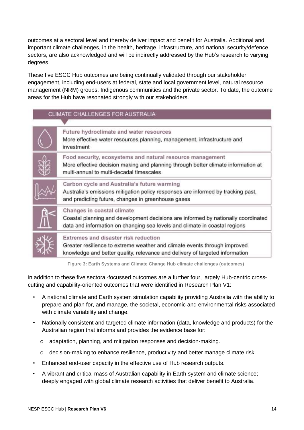outcomes at a sectoral level and thereby deliver impact and benefit for Australia. Additional and important climate challenges, in the health, heritage, infrastructure, and national security/defence sectors, are also acknowledged and will be indirectly addressed by the Hub's research to varying degrees.

These five ESCC Hub outcomes are being continually validated through our stakeholder engagement, including end-users at federal, state and local government level, natural resource management (NRM) groups, Indigenous communities and the private sector. To date, the outcome areas for the Hub have resonated strongly with our stakeholders.

## CLIMATE CHALLENGES FOR AUSTRALIA

| Future hydroclimate and water resources<br>More effective water resources planning, management, infrastructure and<br>investment                                                                  |
|---------------------------------------------------------------------------------------------------------------------------------------------------------------------------------------------------|
| Food security, ecosystems and natural resource management<br>More effective decision making and planning through better climate information at<br>multi-annual to multi-decadal timescales        |
| Carbon cycle and Australia's future warming<br>Australia's emissions mitigation policy responses are informed by tracking past,<br>and predicting future, changes in greenhouse gases             |
| Changes in coastal climate<br>Coastal planning and development decisions are informed by nationally coordinated<br>data and information on changing sea levels and climate in coastal regions     |
| Extremes and disaster risk reduction<br>Greater resilience to extreme weather and climate events through improved<br>knowledge and better quality, relevance and delivery of targeted information |

**Figure 3: Earth Systems and Climate Change Hub climate challenges (outcomes)**

In addition to these five sectoral-focussed outcomes are a further four, largely Hub-centric crosscutting and capability-oriented outcomes that were identified in Research Plan V1:

- A national climate and Earth system simulation capability providing Australia with the ability to prepare and plan for, and manage, the societal, economic and environmental risks associated with climate variability and change.
- Nationally consistent and targeted climate information (data, knowledge and products) for the Australian region that informs and provides the evidence base for:
	- o adaptation, planning, and mitigation responses and decision-making.
	- o decision-making to enhance resilience, productivity and better manage climate risk.
- Enhanced end-user capacity in the effective use of Hub research outputs.
- A vibrant and critical mass of Australian capability in Earth system and climate science; deeply engaged with global climate research activities that deliver benefit to Australia.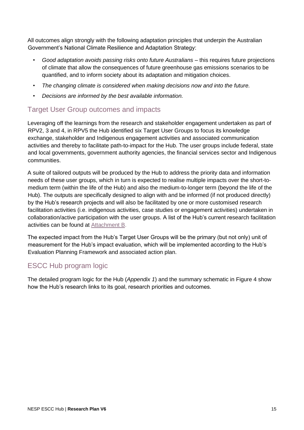All outcomes align strongly with the following adaptation principles that underpin the Australian Government's National Climate Resilience and Adaptation Strategy:

- *Good adaptation avoids passing risks onto future Australians* this requires future projections of climate that allow the consequences of future greenhouse gas emissions scenarios to be quantified, and to inform society about its adaptation and mitigation choices.
- *The changing climate is considered when making decisions now and into the future.*
- *Decisions are informed by the best available information.*

## <span id="page-14-0"></span>Target User Group outcomes and impacts

Leveraging off the learnings from the research and stakeholder engagement undertaken as part of RPV2, 3 and 4, in RPV5 the Hub identified six Target User Groups to focus its knowledge exchange, stakeholder and Indigenous engagement activities and associated communication activities and thereby to facilitate path-to-impact for the Hub. The user groups include federal, state and local governments, government authority agencies, the financial services sector and Indigenous communities.

A suite of tailored outputs will be produced by the Hub to address the priority data and information needs of these user groups, which in turn is expected to realise multiple impacts over the short-tomedium term (within the life of the Hub) and also the medium-to-longer term (beyond the life of the Hub). The outputs are specifically designed to align with and be informed (if not produced directly) by the Hub's research projects and will also be facilitated by one or more customised research facilitation activities (i.e. indigenous activities, case studies or engagement activities) undertaken in collaboration/active participation with the user groups. A list of the Hub's current research facilitation activities can be found at [Attachment B.](#page-49-0)

The expected impact from the Hub's Target User Groups will be the primary (but not only) unit of measurement for the Hub's impact evaluation, which will be implemented according to the Hub's Evaluation Planning Framework and associated action plan.

## <span id="page-14-1"></span>ESCC Hub program logic

The detailed program logic for the Hub (*Appendix 1*) and the summary schematic in Figure 4 show how the Hub's research links to its goal, research priorities and outcomes.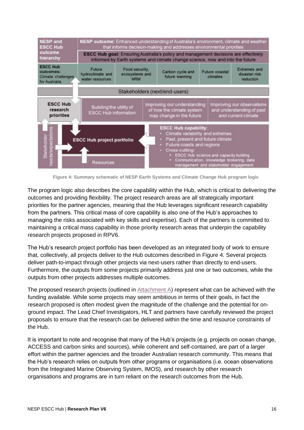

**Figure 4: Summary schematic of NESP Earth Systems and Climate Change Hub program logic** 

The program logic also describes the core capability within the Hub, which is critical to delivering the outcomes and providing flexibility. The project research areas are all strategically important priorities for the partner agencies, meaning that the Hub leverages significant research capability from the partners. This critical mass of core capability is also one of the Hub's approaches to managing the risks associated with key skills and expertise). Each of the partners is committed to maintaining a critical mass capability in those priority research areas that underpin the capability research projects proposed in RPV6.

The Hub's research project portfolio has been developed as an integrated body of work to ensure that, collectively, all projects deliver to the Hub outcomes described in Figure 4. Several projects deliver path-to-impact through other projects via next-users rather than directly to end-users. Furthermore, the outputs from some projects primarily address just one or two outcomes, while the outputs from other projects addresses multiple outcomes.

The proposed research projects (outlined in [Attachment A\)](#page-40-0) represent what can be achieved with the funding available. While some projects may seem ambitious in terms of their goals, in fact the research proposed is often modest given the magnitude of the challenge and the potential for onground impact. The Lead Chief Investigators, HLT and partners have carefully reviewed the project proposals to ensure that the research can be delivered within the time and resource constraints of the Hub.

It is important to note and recognise that many of the Hub's projects (e.g. projects on ocean change, ACCESS and carbon sinks and sources), while coherent and self-contained, are part of a larger effort within the partner agencies and the broader Australian research community. This means that the Hub's research relies on outputs from other programs or organisations (i.e. ocean observations from the Integrated Marine Observing System, IMOS), and research by other research organisations and programs are in turn reliant on the research outcomes from the Hub.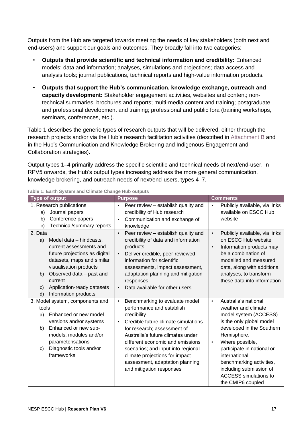Outputs from the Hub are targeted towards meeting the needs of key stakeholders (both next and end-users) and support our goals and outcomes. They broadly fall into two categories:

- **Outputs that provide scientific and technical information and credibility:** Enhanced models; data and information; analyses, simulations and projections; data access and analysis tools; journal publications, technical reports and high-value information products.
- **Outputs that support the Hub's communication, knowledge exchange, outreach and capacity development:** Stakeholder engagement activities, websites and content; nontechnical summaries, brochures and reports; multi-media content and training; postgraduate and professional development and training; professional and public fora (training workshops, seminars, conferences, etc.).

Table 1 describes the generic types of research outputs that will be delivered, either through the research projects and/or via the Hub's research facilitation activities (described in [Attachment B](#page-49-0) and in the Hub's Communication and Knowledge Brokering and Indigenous Engagement and Collaboration strategies).

Output types 1–4 primarily address the specific scientific and technical needs of next/end-user. In RPV5 onwards, the Hub's output types increasing address the more general communication, knowledge brokering, and outreach needs of next/end-users, types 4–7.

| <b>Type of output</b>                                                                                                                                                                                                                                                       | <b>Purpose</b>                                                                                                                                                                                                                                                                                                                                                                             | <b>Comments</b>                                                                                                                                                                                                                                                                                                                                      |
|-----------------------------------------------------------------------------------------------------------------------------------------------------------------------------------------------------------------------------------------------------------------------------|--------------------------------------------------------------------------------------------------------------------------------------------------------------------------------------------------------------------------------------------------------------------------------------------------------------------------------------------------------------------------------------------|------------------------------------------------------------------------------------------------------------------------------------------------------------------------------------------------------------------------------------------------------------------------------------------------------------------------------------------------------|
| 1. Research publications<br>Journal papers<br>a)<br>Conference papers<br>b)<br>Technical/summary reports<br>c)                                                                                                                                                              | Peer review – establish quality and<br>$\bullet$<br>credibility of Hub research<br>Communication and exchange of<br>$\bullet$<br>knowledge                                                                                                                                                                                                                                                 | Publicly available, via links<br>$\bullet$<br>available on ESCC Hub<br>website                                                                                                                                                                                                                                                                       |
| 2. Data<br>Model data - hindcasts,<br>a)<br>current assessments and<br>future projections as digital<br>datasets, maps and similar<br>visualisation products<br>Observed data - past and<br>b)<br>current<br>Application-ready datasets<br>C)<br>Information products<br>d) | Peer review - establish quality and<br>$\bullet$<br>credibility of data and information<br>products<br>Deliver credible, peer-reviewed<br>$\bullet$<br>information for scientific<br>assessments, impact assessment,<br>adaptation planning and mitigation<br>responses<br>Data available for other users<br>$\bullet$                                                                     | Publicly available, via links<br>$\bullet$<br>on ESCC Hub website<br>Information products may<br>$\bullet$<br>be a combination of<br>modelled and measured<br>data, along with additional<br>analyses, to transform<br>these data into information                                                                                                   |
| 3. Model system, components and<br>tools<br>Enhanced or new model<br>a)<br>versions and/or systems<br>Enhanced or new sub-<br>b)<br>models, modules and/or<br>parameterisations<br>Diagnostic tools and/or<br>C)<br>frameworks                                              | Benchmarking to evaluate model<br>$\bullet$<br>performance and establish<br>credibility<br>Credible future climate simulations<br>$\bullet$<br>for research; assessment of<br>Australia's future climates under<br>different economic and emissions<br>scenarios; and input into regional<br>climate projections for impact<br>assessment, adaptation planning<br>and mitigation responses | Australia's national<br>$\bullet$<br>weather and climate<br>model system (ACCESS)<br>is the only global model<br>developed in the Southern<br>Hemisphere.<br>Where possible,<br>$\bullet$<br>participate in national or<br>international<br>benchmarking activities,<br>including submission of<br><b>ACCESS</b> simulations to<br>the CMIP6 coupled |

**Table 1: Earth System and Climate Change Hub outputs**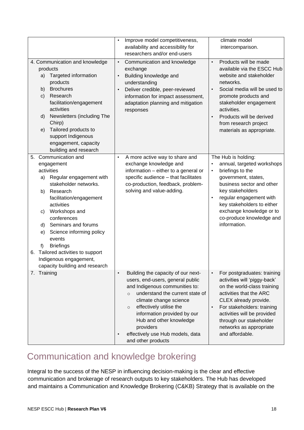|          |                                                                                                                                                                                                                                                                                                                                                                                                           | Improve model competitiveness,<br>$\bullet$<br>availability and accessibility for<br>researchers and/or end-users                                                                                                                                                                                                                                                    | climate model<br>intercomparison.                                                                                                                                                                                                                                                                                     |
|----------|-----------------------------------------------------------------------------------------------------------------------------------------------------------------------------------------------------------------------------------------------------------------------------------------------------------------------------------------------------------------------------------------------------------|----------------------------------------------------------------------------------------------------------------------------------------------------------------------------------------------------------------------------------------------------------------------------------------------------------------------------------------------------------------------|-----------------------------------------------------------------------------------------------------------------------------------------------------------------------------------------------------------------------------------------------------------------------------------------------------------------------|
|          | 4. Communication and knowledge<br>products<br>Targeted information<br>a)<br>products<br><b>Brochures</b><br>b)<br>Research<br>C)<br>facilitation/engagement<br>activities<br>Newsletters (including The<br>d)<br>Chirp)<br>Tailored products to<br>e)<br>support Indigenous<br>engagement, capacity<br>building and research                                                                              | Communication and knowledge<br>$\bullet$<br>exchange<br>Building knowledge and<br>$\bullet$<br>understanding<br>Deliver credible, peer-reviewed<br>$\bullet$<br>information for impact assessment,<br>adaptation planning and mitigation<br>responses                                                                                                                | Products will be made<br>$\bullet$<br>available via the ESCC Hub<br>website and stakeholder<br>networks.<br>Social media will be used to<br>$\bullet$<br>promote products and<br>stakeholder engagement<br>activities.<br>Products will be derived<br>$\bullet$<br>from research project<br>materials as appropriate. |
| 5.<br>6. | Communication and<br>engagement<br>activities<br>Regular engagement with<br>a)<br>stakeholder networks.<br>Research<br>b)<br>facilitation/engagement<br>activities<br>Workshops and<br>C)<br>conferences<br>Seminars and forums<br>d)<br>Science informing policy<br>e)<br>events<br><b>Briefings</b><br>f)<br>Tailored activities to support<br>Indigenous engagement,<br>capacity building and research | A more active way to share and<br>$\bullet$<br>exchange knowledge and<br>information - either to a general or<br>specific audience - that facilitates<br>co-production, feedback, problem-<br>solving and value-adding.                                                                                                                                              | The Hub is holding:<br>annual, targeted workshops<br>$\bullet$<br>briefings to the<br>$\bullet$<br>government, states,<br>business sector and other<br>key stakeholders<br>regular engagement with<br>$\bullet$<br>key stakeholders to either<br>exchange knowledge or to<br>co-produce knowledge and<br>information. |
|          | 7. Training                                                                                                                                                                                                                                                                                                                                                                                               | Building the capacity of our next-<br>$\bullet$<br>users, end-users, general public<br>and Indigenous communities to:<br>understand the current state of<br>$\circ$<br>climate change science<br>effectively utilise the<br>$\circ$<br>information provided by our<br>Hub and other knowledge<br>providers<br>effectively use Hub models, data<br>and other products | For postgraduates: training<br>$\bullet$<br>activities will 'piggy-back'<br>on the world-class training<br>activities that the ARC<br>CLEX already provide.<br>For stakeholders: training<br>$\bullet$<br>activities will be provided<br>through our stakeholder<br>networks as appropriate<br>and affordable.        |

## <span id="page-17-0"></span>Communication and knowledge brokering

Integral to the success of the NESP in influencing decision-making is the clear and effective communication and brokerage of research outputs to key stakeholders. The Hub has developed and maintains a Communication and Knowledge Brokering (C&KB) Strategy that is available on the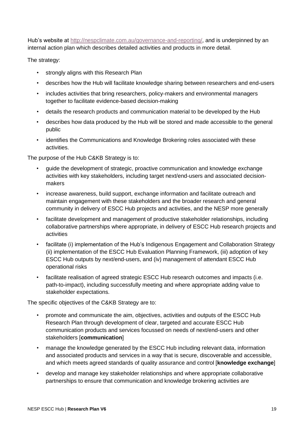Hub's website at [http://nespclimate.com.au/governance-and-reporting/,](http://nespclimate.com.au/governance-and-reporting/) and is underpinned by an internal action plan which describes detailed activities and products in more detail.

The strategy:

- strongly aligns with this Research Plan
- describes how the Hub will facilitate knowledge sharing between researchers and end-users
- includes activities that bring researchers, policy-makers and environmental managers together to facilitate evidence-based decision-making
- details the research products and communication material to be developed by the Hub
- describes how data produced by the Hub will be stored and made accessible to the general public
- identifies the Communications and Knowledge Brokering roles associated with these activities.

The purpose of the Hub C&KB Strategy is to:

- guide the development of strategic, proactive communication and knowledge exchange activities with key stakeholders, including target next/end-users and associated decisionmakers
- increase awareness, build support, exchange information and facilitate outreach and maintain engagement with these stakeholders and the broader research and general community in delivery of ESCC Hub projects and activities, and the NESP more generally
- facilitate development and management of productive stakeholder relationships, including collaborative partnerships where appropriate, in delivery of ESCC Hub research projects and activities
- facilitate (i) implementation of the Hub's Indigenous Engagement and Collaboration Strategy (ii) implementation of the ESCC Hub Evaluation Planning Framework, (iii) adoption of key ESCC Hub outputs by next/end-users, and (iv) management of attendant ESCC Hub operational risks
- facilitate realisation of agreed strategic ESCC Hub research outcomes and impacts (i.e. path-to-impact), including successfully meeting and where appropriate adding value to stakeholder expectations.

The specific objectives of the C&KB Strategy are to:

- promote and communicate the aim, objectives, activities and outputs of the ESCC Hub Research Plan through development of clear, targeted and accurate ESCC Hub communication products and services focussed on needs of next/end-users and other stakeholders [**communication**]
- manage the knowledge generated by the ESCC Hub including relevant data, information and associated products and services in a way that is secure, discoverable and accessible, and which meets agreed standards of quality assurance and control [**knowledge exchange**]
- develop and manage key stakeholder relationships and where appropriate collaborative partnerships to ensure that communication and knowledge brokering activities are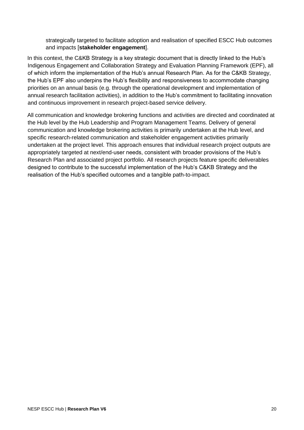strategically targeted to facilitate adoption and realisation of specified ESCC Hub outcomes and impacts [**stakeholder engagement**].

In this context, the C&KB Strategy is a key strategic document that is directly linked to the Hub's Indigenous Engagement and Collaboration Strategy and Evaluation Planning Framework (EPF), all of which inform the implementation of the Hub's annual Research Plan. As for the C&KB Strategy, the Hub's EPF also underpins the Hub's flexibility and responsiveness to accommodate changing priorities on an annual basis (e.g. through the operational development and implementation of annual research facilitation activities), in addition to the Hub's commitment to facilitating innovation and continuous improvement in research project-based service delivery.

<span id="page-19-0"></span>All communication and knowledge brokering functions and activities are directed and coordinated at the Hub level by the Hub Leadership and Program Management Teams. Delivery of general communication and knowledge brokering activities is primarily undertaken at the Hub level, and specific research-related communication and stakeholder engagement activities primarily undertaken at the project level. This approach ensures that individual research project outputs are appropriately targeted at next/end-user needs, consistent with broader provisions of the Hub's Research Plan and associated project portfolio. All research projects feature specific deliverables designed to contribute to the successful implementation of the Hub's C&KB Strategy and the realisation of the Hub's specified outcomes and a tangible path-to-impact.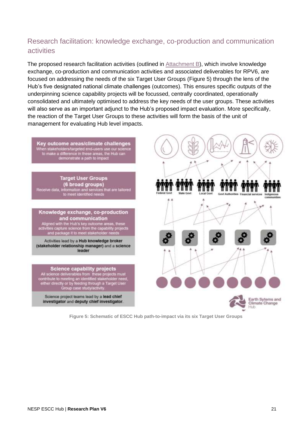## Research facilitation: knowledge exchange, co-production and communication activities

The proposed research facilitation activities (outlined in [Attachment B\)](#page-49-0), which involve knowledge exchange, co-production and communication activities and associated deliverables for RPV6, are focused on addressing the needs of the six Target User Groups (Figure 5) through the lens of the Hub's five designated national climate challenges (outcomes). This ensures specific outputs of the underpinning science capability projects will be focussed, centrally coordinated, operationally consolidated and ultimately optimised to address the key needs of the user groups. These activities will also serve as an important adjunct to the Hub's proposed impact evaluation. More specifically, the reaction of the Target User Groups to these activities will form the basis of the unit of management for evaluating Hub level impacts.



**Figure 5: Schematic of ESCC Hub path-to-impact via its six Target User Groups**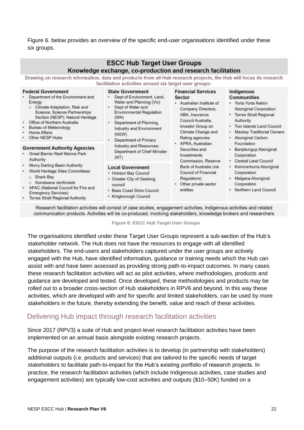Figure 6. below provides an overview of the specific end-user organisations identified under these six groups.

| Drawing on research information, data and products from all Hub research projects, the Hub will focus its research                                                                                                                                                                                         | <b>ESCC Hub Target User Groups</b><br>Knowledge exchange, co-production and research facilitation<br>facilitation activities around six target user groups:                                                                                   |                                                                                                                                                                                            |                                                                                                                                                                                                                          |
|------------------------------------------------------------------------------------------------------------------------------------------------------------------------------------------------------------------------------------------------------------------------------------------------------------|-----------------------------------------------------------------------------------------------------------------------------------------------------------------------------------------------------------------------------------------------|--------------------------------------------------------------------------------------------------------------------------------------------------------------------------------------------|--------------------------------------------------------------------------------------------------------------------------------------------------------------------------------------------------------------------------|
| <b>Federal Government</b><br>Department of the Environment and<br>Energy<br>Climate Adaptation, Risk and<br>ö<br>Science: Science Partnerships<br>Section (NESP); Natural Heritage<br>Office of Northern Australia<br>$\bullet$<br>Bureau of Meteorology<br>۰<br>Home Affairs<br>۰<br>Other NESP Hubs<br>٠ | <b>State Government</b><br>Dept of Environment, Land,<br>Water and Planning (Vic)<br>Dept of Water and<br>۰<br>Environmental Regulation<br>(WA)<br>Department of Planning,<br>Industry and Environment<br>(NSW)<br>Department of Primary<br>٠ | <b>Financial Services</b><br>Sector<br>Australian Institute of<br>Company Directors,<br>ABA, Insurance<br>Council Australia.<br>Investor Group on<br>Climate Change and<br>Rating agencies | Indigenous<br><b>Communities</b><br>· Yorta Yorta Nation<br>Aboriginal Corporation<br>• Torres Strait Regional<br>Authority<br>Tiwi Islands Land Council<br>Mackay Traditional Owners<br>Aboriginal Carbon<br>Foundation |
| <b>Government Authority Agencies</b><br>Great Barrier Reef Marine Park<br>Authority                                                                                                                                                                                                                        | Industry and Resources;<br>Department of Chief Minister<br>(NT)                                                                                                                                                                               | APRA, Australian<br>Securities and<br>Investments<br>Commission, Reserve                                                                                                                   | Banjelungup Aboriginal<br>Corporation<br>Central Land Council                                                                                                                                                            |
| . Murry Darling Basin Authority<br>World Heritage Sites Committees<br>٠<br>Shark Bay<br>Ō.<br>Gondwana rainforests<br>es:<br>۰<br>AFAC (National Council for Fire and<br>Emergency Services)<br>- Torran Cleate Dominand Authority                                                                         | <b>Local Government</b><br>• Hobson Bay Council<br>Greater City of Geelong<br>council<br>• Bass Coast Shire Council<br>• Kingborough Council                                                                                                  | Bank of Australia (via<br>Council of Financial<br>Regulators)<br>Other private sector<br>entities                                                                                          | Koinmerburra Aboriginal<br>Corporation<br>Malgana Aboriginal<br>Corporation<br>Northern Land Council                                                                                                                     |

Research facilitation activities will consist of case studies, engagement activities, Indigenous activities and related communication products. Activities will be co-produced, involving stakeholders, knowledge brokers and researchers

**Figure 6: ESCC Hub Target User Groups** 

The organisations identified under these Target User Groups represent a sub-section of the Hub's stakeholder network. The Hub does not have the resources to engage with all identified stakeholders. The end-users and stakeholders captured under the user groups are actively engaged with the Hub, have identified information, guidance or training needs which the Hub can assist with and have been assessed as providing strong path-to-impact outcomes. In many cases these research facilitation activities will act as pilot activities, where methodologies, products and guidance are developed and tested. Once developed, these methodologies and products may be rolled out to a broader cross-section of Hub stakeholders in RPV6 and beyond. In this way these activities, which are developed with and for specific and limited stakeholders, can be used by more stakeholders in the future, thereby extending the benefit, value and reach of these activities.

## <span id="page-21-0"></span>Delivering Hub impact through research facilitation activities

Since 2017 (RPV3) a suite of Hub and project-level research facilitation activities have been implemented on an annual basis alongside existing research projects.

The purpose of the research facilitation activities is to develop (in partnership with stakeholders) additional outputs (i.e. products and services) that are tailored to the specific needs of target stakeholders to facilitate path-to-impact for the Hub's existing portfolio of research projects. In practice, the research facilitation activities (which include Indigenous activities, case studies and engagement activities) are typically low-cost activities and outputs (\$10–50K) funded on a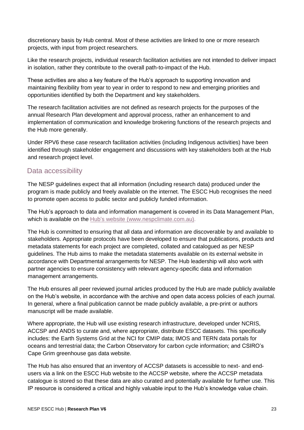discretionary basis by Hub central. Most of these activities are linked to one or more research projects, with input from project researchers.

Like the research projects, individual research facilitation activities are not intended to deliver impact in isolation, rather they contribute to the overall path-to-impact of the Hub.

These activities are also a key feature of the Hub's approach to supporting innovation and maintaining flexibility from year to year in order to respond to new and emerging priorities and opportunities identified by both the Department and key stakeholders.

The research facilitation activities are not defined as research projects for the purposes of the annual Research Plan development and approval process, rather an enhancement to and implementation of communication and knowledge brokering functions of the research projects and the Hub more generally.

Under RPV6 these case research facilitation activities (including Indigenous activities) have been identified through stakeholder engagement and discussions with key stakeholders both at the Hub and research project level.

### <span id="page-22-0"></span>Data accessibility

The NESP guidelines expect that all information (including research data) produced under the program is made publicly and freely available on the internet. The ESCC Hub recognises the need to promote open access to public sector and publicly funded information.

The Hub's approach to data and information management is covered in its Data Management Plan, which is available on the [Hub's website](http://nespclimate.com.au/wp-content/uploads/2018/07/ESCC-Data-Management-Plan_0418.pdf) (www.nespclimate.com.au).

The Hub is committed to ensuring that all data and information are discoverable by and available to stakeholders. Appropriate protocols have been developed to ensure that publications, products and metadata statements for each project are completed, collated and catalogued as per NESP guidelines. The Hub aims to make the metadata statements available on its external website in accordance with Departmental arrangements for NESP. The Hub leadership will also work with partner agencies to ensure consistency with relevant agency-specific data and information management arrangements.

The Hub ensures all peer reviewed journal articles produced by the Hub are made publicly available on the Hub's website, in accordance with the archive and open data access policies of each journal. In general, where a final publication cannot be made publicly available, a pre-print or authors manuscript will be made available.

Where appropriate, the Hub will use existing research infrastructure, developed under NCRIS, ACCSP and ANDS to curate and, where appropriate, distribute ESCC datasets. This specifically includes: the Earth Systems Grid at the NCI for CMIP data; IMOS and TERN data portals for oceans and terrestrial data; the Carbon Observatory for carbon cycle information; and CSIRO's Cape Grim greenhouse gas data website.

The Hub has also ensured that an inventory of ACCSP datasets is accessible to next- and endusers via a link on the ESCC Hub website to the ACCSP website, where the ACCSP metadata catalogue is stored so that these data are also curated and potentially available for further use. This IP resource is considered a critical and highly valuable input to the Hub's knowledge value chain.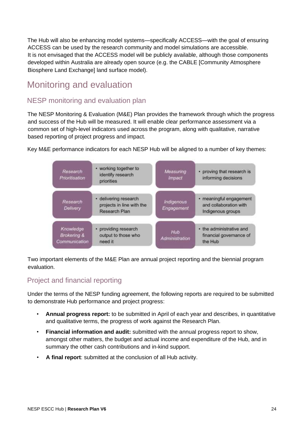The Hub will also be enhancing model systems—specifically ACCESS—with the goal of ensuring ACCESS can be used by the research community and model simulations are accessible. It is not envisaged that the ACCESS model will be publicly available, although those components developed within Australia are already open source (e.g. the CABLE [Community Atmosphere Biosphere Land Exchange] land surface model).

## <span id="page-23-0"></span>Monitoring and evaluation

## <span id="page-23-1"></span>NESP monitoring and evaluation plan

The NESP Monitoring & Evaluation (M&E) Plan provides the framework through which the progress and success of the Hub will be measured. It will enable clear performance assessment via a common set of high-level indicators used across the program, along with qualitative, narrative based reporting of project progress and impact.

Key M&E performance indicators for each NESP Hub will be aligned to a number of key themes:



Two important elements of the M&E Plan are annual project reporting and the biennial program evaluation.

## <span id="page-23-2"></span>Project and financial reporting

Under the terms of the NESP funding agreement, the following reports are required to be submitted to demonstrate Hub performance and project progress:

- **Annual progress report:** to be submitted in April of each year and describes, in quantitative and qualitative terms, the progress of work against the Research Plan.
- **Financial information and audit:** submitted with the annual progress report to show, amongst other matters, the budget and actual income and expenditure of the Hub, and in summary the other cash contributions and in-kind support.
- **A final report**: submitted at the conclusion of all Hub activity.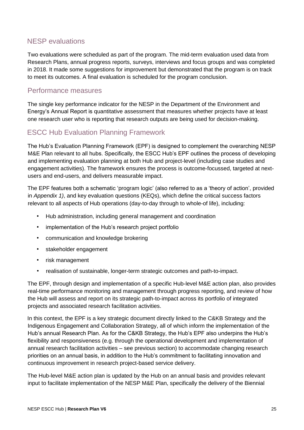## <span id="page-24-0"></span>NESP evaluations

Two evaluations were scheduled as part of the program. The mid-term evaluation used data from Research Plans, annual progress reports, surveys, interviews and focus groups and was completed in 2018. It made some suggestions for improvement but demonstrated that the program is on track to meet its outcomes. A final evaluation is scheduled for the program conclusion.

#### <span id="page-24-1"></span>Performance measures

The single key performance indicator for the NESP in the Department of the Environment and Energy's Annual Report is quantitative assessment that measures whether projects have at least one research user who is reporting that research outputs are being used for decision-making.

## <span id="page-24-2"></span>ESCC Hub Evaluation Planning Framework

The Hub's Evaluation Planning Framework (EPF) is designed to complement the overarching NESP M&E Plan relevant to all hubs. Specifically, the ESCC Hub's EPF outlines the process of developing and implementing evaluation planning at both Hub and project-level (including case studies and engagement activities). The framework ensures the process is outcome-focussed, targeted at nextusers and end-users, and delivers measurable impact.

The EPF features both a schematic 'program logic' (also referred to as a 'theory of action', provided in *Appendix 1)*, and key evaluation questions (KEQs), which define the critical success factors relevant to all aspects of Hub operations (day-to-day through to whole-of life), including:

- Hub administration, including general management and coordination
- implementation of the Hub's research project portfolio
- communication and knowledge brokering
- stakeholder engagement
- risk management
- realisation of sustainable, longer-term strategic outcomes and path-to-impact.

The EPF, through design and implementation of a specific Hub-level M&E action plan, also provides real-time performance monitoring and management through progress reporting, and review of how the Hub will assess and report on its strategic path-to-impact across its portfolio of integrated projects and associated research facilitation activities.

In this context, the EPF is a key strategic document directly linked to the C&KB Strategy and the Indigenous Engagement and Collaboration Strategy, all of which inform the implementation of the Hub's annual Research Plan. As for the C&KB Strategy, the Hub's EPF also underpins the Hub's flexibility and responsiveness (e.g. through the operational development and implementation of annual research facilitation activities – see previous section) to accommodate changing research priorities on an annual basis, in addition to the Hub's commitment to facilitating innovation and continuous improvement in research project-based service delivery.

The Hub-level M&E action plan is updated by the Hub on an annual basis and provides relevant input to facilitate implementation of the NESP M&E Plan, specifically the delivery of the Biennial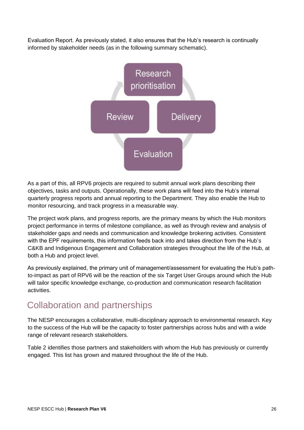Evaluation Report. As previously stated, it also ensures that the Hub's research is continually informed by stakeholder needs (as in the following summary schematic).



As a part of this, all RPV6 projects are required to submit annual work plans describing their objectives, tasks and outputs. Operationally, these work plans will feed into the Hub's internal quarterly progress reports and annual reporting to the Department. They also enable the Hub to monitor resourcing, and track progress in a measurable way.

The project work plans, and progress reports, are the primary means by which the Hub monitors project performance in terms of milestone compliance, as well as through review and analysis of stakeholder gaps and needs and communication and knowledge brokering activities. Consistent with the EPF requirements, this information feeds back into and takes direction from the Hub's C&KB and Indigenous Engagement and Collaboration strategies throughout the life of the Hub, at both a Hub and project level.

As previously explained, the primary unit of management/assessment for evaluating the Hub's pathto-impact as part of RPV6 will be the reaction of the six Target User Groups around which the Hub will tailor specific knowledge exchange, co-production and communication research facilitation activities.

## <span id="page-25-0"></span>Collaboration and partnerships

The NESP encourages a collaborative, multi-disciplinary approach to environmental research. Key to the success of the Hub will be the capacity to foster partnerships across hubs and with a wide range of relevant research stakeholders.

Table 2 identifies those partners and stakeholders with whom the Hub has previously or currently engaged. This list has grown and matured throughout the life of the Hub.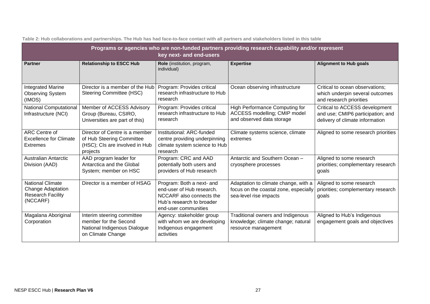|                                                                                      | Programs or agencies who are non-funded partners providing research capability and/or represent<br>key next- and end-users |                                                                                                                                         |                                                                                                         |                                                                                                        |  |  |  |  |
|--------------------------------------------------------------------------------------|----------------------------------------------------------------------------------------------------------------------------|-----------------------------------------------------------------------------------------------------------------------------------------|---------------------------------------------------------------------------------------------------------|--------------------------------------------------------------------------------------------------------|--|--|--|--|
| <b>Partner</b>                                                                       | <b>Relationship to ESCC Hub</b>                                                                                            | Role (institution, program,<br>individual)                                                                                              | <b>Expertise</b>                                                                                        | <b>Alignment to Hub goals</b>                                                                          |  |  |  |  |
| <b>Integrated Marine</b><br><b>Observing System</b><br>(IMOS)                        | Director is a member of the Hub<br>Steering Committee (HSC)                                                                | Program: Provides critical<br>research infrastructure to Hub<br>research                                                                | Ocean observing infrastructure                                                                          | Critical to ocean observations;<br>which underpin several outcomes<br>and research priorities          |  |  |  |  |
| <b>National Computational</b><br>Infrastructure (NCI)                                | Member of ACCESS Advisory<br>Group (Bureau, CSIRO,<br>Universities are part of this)                                       | Program: Provides critical<br>research infrastructure to Hub<br>research                                                                | High Performance Computing for<br>ACCESS modelling; CMIP model<br>and observed data storage             | Critical to ACCESS development<br>and use; CMIP6 participation; and<br>delivery of climate information |  |  |  |  |
| ARC Centre of<br><b>Excellence for Climate</b><br><b>Extremes</b>                    | Director of Centre is a member<br>of Hub Steering Committee<br>(HSC); CIs are involved in Hub<br>projects                  | Institutional: ARC-funded<br>centre providing underpinning<br>climate system science to Hub<br>research                                 | Climate systems science, climate<br>extremes                                                            | Aligned to some research priorities                                                                    |  |  |  |  |
| <b>Australian Antarctic</b><br>Division (AAD)                                        | AAD program leader for<br>Antarctica and the Global<br>System; member on HSC                                               | Program: CRC and AAD<br>potentially both users and<br>providers of Hub research                                                         | Antarctic and Southern Ocean -<br>cryosphere processes                                                  | Aligned to some research<br>priorities; complementary research<br>goals                                |  |  |  |  |
| <b>National Climate</b><br>Change Adaptation<br><b>Research Facility</b><br>(NCCARF) | Director is a member of HSAG                                                                                               | Program: Both a next- and<br>end-user of Hub research.<br>NCCARF also connects the<br>Hub's research to broader<br>end-user communities | Adaptation to climate change, with a<br>focus on the coastal zone, especially<br>sea-level rise impacts | Aligned to some research<br>priorities; complementary research<br>goals                                |  |  |  |  |
| Magalana Aboriginal<br>Corporation                                                   | Interim steering committee<br>member for the Second<br>National Indigenous Dialogue<br>on Climate Change                   | Agency: stakeholder group<br>with whom we are developing<br>Indigenous engagement<br>activities                                         | Traditional owners and Indigenous<br>knowledge; climate change; natural<br>resource management          | Aligned to Hub's Indigenous<br>engagement goals and objectives                                         |  |  |  |  |

**Table 2: Hub collaborations and partnerships. The Hub has had face-to-face contact with all partners and stakeholders listed in this table**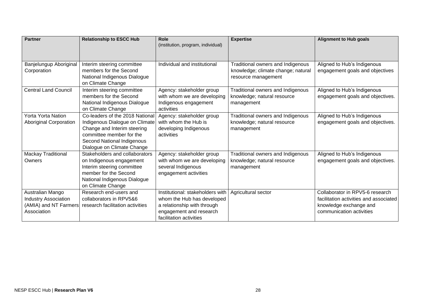| <b>Partner</b>                                                                          | <b>Relationship to ESCC Hub</b>                                                                                                                                                          | Role<br>(institution, program, individual)                                                                                                          | <b>Expertise</b>                                                                               | <b>Alignment to Hub goals</b>                                                                                                   |
|-----------------------------------------------------------------------------------------|------------------------------------------------------------------------------------------------------------------------------------------------------------------------------------------|-----------------------------------------------------------------------------------------------------------------------------------------------------|------------------------------------------------------------------------------------------------|---------------------------------------------------------------------------------------------------------------------------------|
|                                                                                         |                                                                                                                                                                                          |                                                                                                                                                     |                                                                                                |                                                                                                                                 |
| Banjelungup Aboriginal<br>Corporation                                                   | Interim steering committee<br>members for the Second<br>National Indigenous Dialogue<br>on Climate Change                                                                                | Individual and institutional                                                                                                                        | Traditional owners and Indigenous<br>knowledge; climate change; natural<br>resource management | Aligned to Hub's Indigenous<br>engagement goals and objectives                                                                  |
| <b>Central Land Council</b>                                                             | Interim steering committee<br>members for the Second<br>National Indigenous Dialogue<br>on Climate Change                                                                                | Agency: stakeholder group<br>with whom we are developing<br>Indigenous engagement<br>activities                                                     | Traditional owners and Indigenous<br>knowledge; natural resource<br>management                 | Aligned to Hub's Indigenous<br>engagement goals and objectives.                                                                 |
| <b>Yorta Yorta Nation</b><br>Aboriginal Corporation                                     | Co-leaders of the 2018 National<br>Indigenous Dialogue on Climate<br>Change and Interim steering<br>committee member for the<br>Second National Indigenous<br>Dialogue on Climate Change | Agency: stakeholder group<br>with whom the Hub is<br>developing Indigenous<br>activities                                                            | Traditional owners and Indigenous<br>knowledge; natural resource<br>management                 | Aligned to Hub's Indigenous<br>engagement goals and objectives.                                                                 |
| Mackay Traditional<br>Owners                                                            | Stakeholders and collaborators<br>on Indigenous engagement<br>Interim steering committee<br>member for the Second<br>National Indigenous Dialogue<br>on Climate Change                   | Agency: stakeholder group<br>with whom we are developing<br>several Indigenous<br>engagement activities                                             | Traditional owners and Indigenous<br>knowledge; natural resource<br>management                 | Aligned to Hub's Indigenous<br>engagement goals and objectives.                                                                 |
| Australian Mango<br><b>Industry Association</b><br>(AMIA) and NT Farmers<br>Association | Research end-users and<br>collaborators in RPV5&6<br>research facilitation activities                                                                                                    | Institutional: stakeholders with<br>whom the Hub has developed<br>a relationship with through<br>engagement and research<br>facilitation activities | Agricultural sector                                                                            | Collaborator in RPV5-6 research<br>facilitation activities and associated<br>knowledge exchange and<br>communication activities |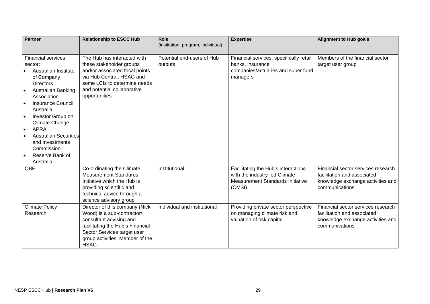| <b>Partner</b> |                                                 | <b>Relationship to ESCC Hub</b>  | Role<br>(institution, program, individual) | <b>Expertise</b>                        | <b>Alignment to Hub goals</b>      |  |
|----------------|-------------------------------------------------|----------------------------------|--------------------------------------------|-----------------------------------------|------------------------------------|--|
|                |                                                 |                                  |                                            |                                         |                                    |  |
|                | <b>Financial services</b>                       | The Hub has interacted with      | Potential end-users of Hub                 | Financial services, specifically retail | Members of the financial sector    |  |
|                | sector:                                         | these stakeholder groups         | outputs                                    | banks, insurance                        | target user group                  |  |
|                | Australian Institute                            | and/or associated focal points   |                                            | companies/actuaries and super fund      |                                    |  |
|                | of Company                                      | via Hub Central, HSAG and        |                                            | managers                                |                                    |  |
|                | <b>Directors</b>                                | some LCIs to determine needs     |                                            |                                         |                                    |  |
| $\bullet$      | Australian Banking                              | and potential collaborative      |                                            |                                         |                                    |  |
|                | Association                                     | opportunities                    |                                            |                                         |                                    |  |
|                | <b>Insurance Council</b>                        |                                  |                                            |                                         |                                    |  |
|                | Australia                                       |                                  |                                            |                                         |                                    |  |
| $\bullet$      | Investor Group on                               |                                  |                                            |                                         |                                    |  |
|                | <b>Climate Change</b>                           |                                  |                                            |                                         |                                    |  |
| $\bullet$      | <b>APRA</b>                                     |                                  |                                            |                                         |                                    |  |
| $\bullet$      | <b>Australian Securities</b><br>and Investments |                                  |                                            |                                         |                                    |  |
|                | Commission                                      |                                  |                                            |                                         |                                    |  |
| $\bullet$      | Reserve Bank of                                 |                                  |                                            |                                         |                                    |  |
|                | Australia                                       |                                  |                                            |                                         |                                    |  |
|                | QBE                                             | Co-ordinating the Climate        | Institutional:                             | Facilitating the Hub's interactions     | Financial sector services research |  |
|                |                                                 | <b>Measurement Standards</b>     |                                            | with the industry-led Climate           | facilitation and associated        |  |
|                |                                                 | Initiative which the Hub is      |                                            | <b>Measurement Standards Initiative</b> | knowledge exchange activities and  |  |
|                |                                                 | providing scientific and         |                                            | (CMSI)                                  | communications                     |  |
|                |                                                 | technical advice through a       |                                            |                                         |                                    |  |
|                |                                                 | science advisory group           |                                            |                                         |                                    |  |
|                | <b>Climate Policy</b>                           | Director of this company (Nick   | Individual and institutional               | Providing private sector perspective    | Financial sector services research |  |
|                | Research                                        | Wood) is a sub-contractor/       |                                            | on managing climate risk and            | facilitation and associated        |  |
|                |                                                 | consultant advising and          |                                            | valuation of risk capital               | knowledge exchange activities and  |  |
|                |                                                 | facilitating the Hub's Financial |                                            |                                         | communications                     |  |
|                |                                                 | Sector Services target user      |                                            |                                         |                                    |  |
|                |                                                 | group activities. Member of the  |                                            |                                         |                                    |  |
|                |                                                 | <b>HSAG</b>                      |                                            |                                         |                                    |  |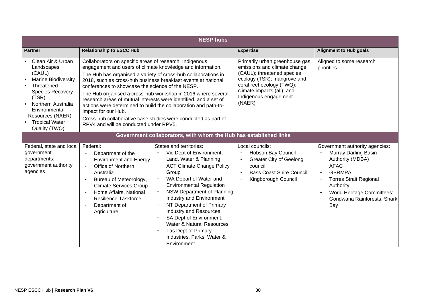|                                                                                                                                                                                                                                | <b>NESP hubs</b>                                                                                                                                                                                                                                                                  |                                                                                                                                                                                                                                                                                                                                                                                                                                                                                                                                                                                                                                 |                                                                                                                                                                          |                                                                                                                                                                                                                                     |  |  |  |
|--------------------------------------------------------------------------------------------------------------------------------------------------------------------------------------------------------------------------------|-----------------------------------------------------------------------------------------------------------------------------------------------------------------------------------------------------------------------------------------------------------------------------------|---------------------------------------------------------------------------------------------------------------------------------------------------------------------------------------------------------------------------------------------------------------------------------------------------------------------------------------------------------------------------------------------------------------------------------------------------------------------------------------------------------------------------------------------------------------------------------------------------------------------------------|--------------------------------------------------------------------------------------------------------------------------------------------------------------------------|-------------------------------------------------------------------------------------------------------------------------------------------------------------------------------------------------------------------------------------|--|--|--|
| <b>Partner</b>                                                                                                                                                                                                                 | <b>Relationship to ESCC Hub</b>                                                                                                                                                                                                                                                   |                                                                                                                                                                                                                                                                                                                                                                                                                                                                                                                                                                                                                                 | <b>Expertise</b>                                                                                                                                                         | <b>Alignment to Hub goals</b>                                                                                                                                                                                                       |  |  |  |
| Clean Air & Urban<br>Landscapes<br>(CAUL)<br><b>Marine Biodiversity</b><br>Threatened<br><b>Species Recovery</b><br>(TSR)<br>Northern Australia<br>Environmental<br>Resources (NAER)<br><b>Tropical Water</b><br>Quality (TWQ) | impact for our Hub.                                                                                                                                                                                                                                                               | Collaborators on specific areas of research, Indigenous<br>engagement and users of climate knowledge and information.<br>The Hub has organised a variety of cross-hub collaborations in<br>2018, such as cross-hub business breakfast events at national<br>conferences to showcase the science of the NESP.<br>The Hub organised a cross-hub workshop in 2016 where several<br>research areas of mutual interests were identified, and a set of<br>actions were determined to build the collaboration and path-to-<br>Cross-hub collaborative case studies were conducted as part of<br>RPV4 and will be conducted under RPV5. |                                                                                                                                                                          | Aligned to some research<br>priorities                                                                                                                                                                                              |  |  |  |
|                                                                                                                                                                                                                                |                                                                                                                                                                                                                                                                                   | Government collaborators, with whom the Hub has established links                                                                                                                                                                                                                                                                                                                                                                                                                                                                                                                                                               |                                                                                                                                                                          |                                                                                                                                                                                                                                     |  |  |  |
| Federal, state and local<br>government<br>departments;<br>government authority<br>agencies                                                                                                                                     | Federal:<br>Department of the<br>$\overline{\phantom{a}}$<br><b>Environment and Energy</b><br>Office of Northern<br>Australia<br>Bureau of Meteorology,<br><b>Climate Services Group</b><br>Home Affairs, National<br><b>Resilience Taskforce</b><br>Department of<br>Agriculture | States and territories:<br>Vic Dept of Environment,<br>Land, Water & Planning<br><b>ACT Climate Change Policy</b><br>Group<br>WA Depart of Water and<br><b>Environmental Regulation</b><br>NSW Department of Planning,<br>Industry and Environment<br>NT Department of Primary<br><b>Industry and Resources</b><br>SA Dept of Environment,<br><b>Water &amp; Natural Resources</b><br>Tas Dept of Primary<br>Industries, Parks, Water &<br>Environment                                                                                                                                                                          | Local councils:<br>Hobson Bay Council<br><b>Greater City of Geelong</b><br>council<br><b>Bass Coast Shire Council</b><br>$\overline{\phantom{a}}$<br>Kingborough Council | Government authority agencies:<br>Murray Darling Basin<br>Authority (MDBA)<br><b>AFAC</b><br><b>GBRMPA</b><br><b>Torres Strait Regional</b><br>Authority<br><b>World Heritage Committees:</b><br>Gondwana Rainforests, Shark<br>Bay |  |  |  |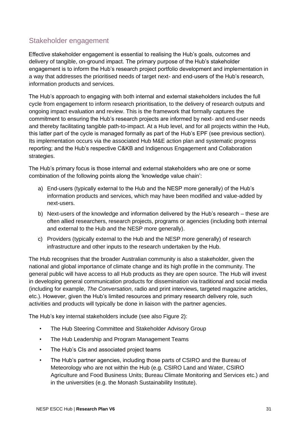## <span id="page-30-0"></span>Stakeholder engagement

Effective stakeholder engagement is essential to realising the Hub's goals, outcomes and delivery of tangible, on-ground impact. The primary purpose of the Hub's stakeholder engagement is to inform the Hub's research project portfolio development and implementation in a way that addresses the prioritised needs of target next- and end-users of the Hub's research, information products and services.

The Hub's approach to engaging with both internal and external stakeholders includes the full cycle from engagement to inform research prioritisation, to the delivery of research outputs and ongoing impact evaluation and review. This is the framework that formally captures the commitment to ensuring the Hub's research projects are informed by next- and end-user needs and thereby facilitating tangible path-to-impact. At a Hub level, and for all projects within the Hub, this latter part of the cycle is managed formally as part of the Hub's EPF (see previous section). Its implementation occurs via the associated Hub M&E action plan and systematic progress reporting; and the Hub's respective C&KB and Indigenous Engagement and Collaboration strategies.

The Hub's primary focus is those internal and external stakeholders who are one or some combination of the following points along the 'knowledge value chain':

- a) End-users (typically external to the Hub and the NESP more generally) of the Hub's information products and services, which may have been modified and value-added by next-users.
- b) Next-users of the knowledge and information delivered by the Hub's research these are often allied researchers, research projects, programs or agencies (including both internal and external to the Hub and the NESP more generally).
- c) Providers (typically external to the Hub and the NESP more generally) of research infrastructure and other inputs to the research undertaken by the Hub.

The Hub recognises that the broader Australian community is also a stakeholder, given the national and global importance of climate change and its high profile in the community. The general public will have access to all Hub products as they are open source. The Hub will invest in developing general communication products for dissemination via traditional and social media (including for example, *The Conversation*, radio and print interviews, targeted magazine articles, etc.). However, given the Hub's limited resources and primary research delivery role, such activities and products will typically be done in liaison with the partner agencies.

The Hub's key internal stakeholders include (see also Figure 2):

- The Hub Steering Committee and Stakeholder Advisory Group
- The Hub Leadership and Program Management Teams
- The Hub's CIs and associated project teams
- The Hub's partner agencies, including those parts of CSIRO and the Bureau of Meteorology who are not within the Hub (e.g. CSIRO Land and Water, CSIRO Agriculture and Food Business Units; Bureau Climate Monitoring and Services etc.) and in the universities (e.g. the Monash Sustainability Institute).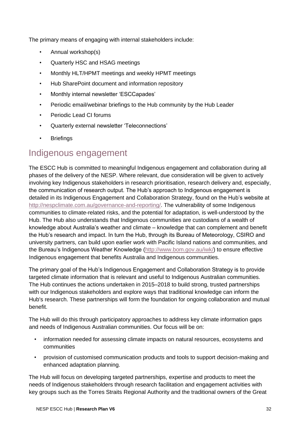The primary means of engaging with internal stakeholders include:

- Annual workshop(s)
- Quarterly HSC and HSAG meetings
- Monthly HLT/HPMT meetings and weekly HPMT meetings
- Hub SharePoint document and information repository
- Monthly internal newsletter 'ESCCapades'
- Periodic email/webinar briefings to the Hub community by the Hub Leader
- Periodic Lead CI forums
- Quarterly external newsletter 'Teleconnections'
- **Briefings**

## <span id="page-31-0"></span>Indigenous engagement

The ESCC Hub is committed to meaningful Indigenous engagement and collaboration during all phases of the delivery of the NESP. Where relevant, due consideration will be given to actively involving key Indigenous stakeholders in research prioritisation, research delivery and, especially, the communication of research output. The Hub's approach to Indigenous engagement is detailed in its Indigenous Engagement and Collaboration Strategy, found on the Hub's website at [http://nespclimate.com.au/governance-and-reporting/.](http://nespclimate.com.au/governance-and-reporting/) The vulnerability of some Indigenous communities to climate-related risks, and the potential for adaptation, is well-understood by the Hub. The Hub also understands that Indigenous communities are custodians of a wealth of knowledge about Australia's weather and climate – knowledge that can complement and benefit the Hub's research and impact. In turn the Hub, through its Bureau of Meteorology, CSIRO and university partners, can build upon earlier work with Pacific Island nations and communities, and the Bureau's Indigenous Weather Knowledge [\(http://www.bom.gov.au/iwk/\)](http://www.bom.gov.au/iwk/) to ensure effective Indigenous engagement that benefits Australia and Indigenous communities.

The primary goal of the Hub's Indigenous Engagement and Collaboration Strategy is to provide targeted climate information that is relevant and useful to Indigenous Australian communities. The Hub continues the actions undertaken in 2015–2018 to build strong, trusted partnerships with our Indigenous stakeholders and explore ways that traditional knowledge can inform the Hub's research. These partnerships will form the foundation for ongoing collaboration and mutual benefit.

The Hub will do this through participatory approaches to address key climate information gaps and needs of Indigenous Australian communities. Our focus will be on:

- information needed for assessing climate impacts on natural resources, ecosystems and communities
- provision of customised communication products and tools to support decision-making and enhanced adaptation planning.

The Hub will focus on developing targeted partnerships, expertise and products to meet the needs of Indigenous stakeholders through research facilitation and engagement activities with key groups such as the Torres Straits Regional Authority and the traditional owners of the Great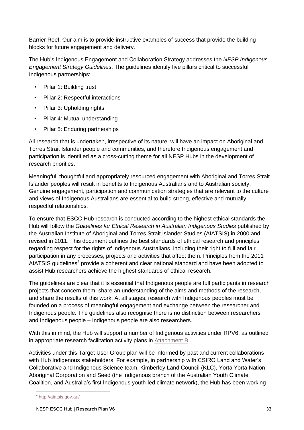Barrier Reef. Our aim is to provide instructive examples of success that provide the building blocks for future engagement and delivery.

The Hub's Indigenous Engagement and Collaboration Strategy addresses the *NESP Indigenous Engagement Strategy Guidelines*. The guidelines identify five pillars critical to successful Indigenous partnerships:

- Pillar 1: Building trust
- Pillar 2: Respectful interactions
- Pillar 3: Upholding rights
- Pillar 4: Mutual understanding
- Pillar 5: Enduring partnerships

All research that is undertaken, irrespective of its nature, will have an impact on Aboriginal and Torres Strait Islander people and communities, and therefore Indigenous engagement and participation is identified as a cross-cutting theme for all NESP Hubs in the development of research priorities.

Meaningful, thoughtful and appropriately resourced engagement with Aboriginal and Torres Strait Islander peoples will result in benefits to Indigenous Australians and to Australian society. Genuine engagement, participation and communication strategies that are relevant to the culture and views of Indigenous Australians are essential to build strong, effective and mutually respectful relationships.

To ensure that ESCC Hub research is conducted according to the highest ethical standards the Hub will follow the *[Guidelines for Ethical Research in Australian Indigenous Studies](http://www.aiatsis.gov.au/_files/research/ethics.pdf)* published by the Australian Institute of Aboriginal and Torres Strait Islander Studies (AIATSIS) in 2000 and revised in 2011. This document outlines the best standards of ethical research and principles regarding respect for the rights of Indigenous Australians, including their right to full and fair participation in any processes, projects and activities that affect them. Principles from the 2011 AIATSIS guidelines<sup>2</sup> provide a coherent and clear national standard and have been adopted to assist Hub researchers achieve the highest standards of ethical research.

The guidelines are clear that it is essential that Indigenous people are full participants in research projects that concern them, share an understanding of the aims and methods of the research, and share the results of this work. At all stages, research with Indigenous peoples must be founded on a process of meaningful engagement and exchange between the researcher and Indigenous people. The guidelines also recognise there is no distinction between researchers and Indigenous people – Indigenous people are also researchers.

With this in mind, the Hub will support a number of Indigenous activities under RPV6, as outlined in appropriate research facilitation activity plans in [Attachment B.](#page-49-0).

Activities under this Target User Group plan will be informed by past and current collaborations with Hub Indigenous stakeholders. For example, in partnership with CSIRO Land and Water's Collaborative and Indigenous Science team, Kimberley Land Council (KLC), Yorta Yorta Nation Aboriginal Corporation and Seed (the Indigenous branch of the Australian Youth Climate Coalition, and Australia's first Indigenous youth-led climate network), the Hub has been working

<sup>2</sup> <http://aiatsis.gov.au/>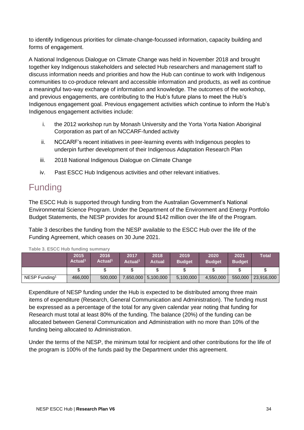to identify Indigenous priorities for climate-change-focussed information, capacity building and forms of engagement.

A National Indigenous Dialogue on Climate Change was held in November 2018 and brought together key Indigenous stakeholders and selected Hub researchers and management staff to discuss information needs and priorities and how the Hub can continue to work with Indigenous communities to co-produce relevant and accessible information and products, as well as continue a meaningful two-way exchange of information and knowledge. The outcomes of the workshop, and previous engagements, are contributing to the Hub's future plans to meet the Hub's Indigenous engagement goal. Previous engagement activities which continue to inform the Hub's Indigenous engagement activities include:

- i. the 2012 workshop run by Monash University and the Yorta Yorta Nation Aboriginal Corporation as part of an NCCARF-funded activity
- ii. NCCARF's recent initiatives in peer-learning events with Indigenous peoples to underpin further development of their Indigenous Adaptation Research Plan
- iii. 2018 National Indigenous Dialogue on Climate Change
- iv. Past ESCC Hub Indigenous activities and other relevant initiatives.

## <span id="page-33-0"></span>Funding

The ESCC Hub is supported through funding from the Australian Government's National Environmental Science Program. Under the Department of the Environment and Energy Portfolio Budget Statements, the NESP provides for around \$142 million over the life of the Program.

Table 3 describes the funding from the NESP available to the ESCC Hub over the life of the Funding Agreement, which ceases on 30 June 2021.

|                           | 2015<br>Actual <sup>1</sup> | 2016<br>Actual <sup>1</sup> | 2017<br>Actual <sup>1</sup> | 2018<br>Actual        | 2019<br><b>Budget</b> | 2020<br><b>Budget</b> | 2021<br><b>Budget</b> | <b>Total</b> |
|---------------------------|-----------------------------|-----------------------------|-----------------------------|-----------------------|-----------------------|-----------------------|-----------------------|--------------|
|                           |                             |                             |                             |                       | ง                     |                       | σ<br>ง                |              |
| NESP Funding <sup>1</sup> | 466,000                     | 500,000                     |                             | 7,650,000   5,100,000 | 5,100,000             | 4,550,000             | 550,000               | 23,916,000   |

**Table 3. ESCC Hub funding summary**

Expenditure of NESP funding under the Hub is expected to be distributed among three main items of expenditure (Research, General Communication and Administration). The funding must be expressed as a percentage of the total for any given calendar year noting that funding for Research must total at least 80% of the funding. The balance (20%) of the funding can be allocated between General Communication and Administration with no more than 10% of the funding being allocated to Administration.

Under the terms of the NESP, the minimum total for recipient and other contributions for the life of the program is 100% of the funds paid by the Department under this agreement.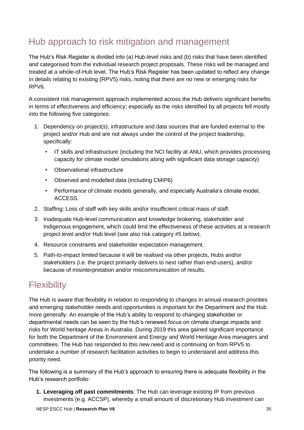## <span id="page-34-0"></span>Hub approach to risk mitigation and management

The Hub's Risk Register is divided into (a) Hub-level risks and (b) risks that have been identified and categorised from the individual research project proposals. These risks will be managed and treated at a whole-of-Hub level. The Hub's Risk Register has been updated to reflect any change in details relating to existing (RPV5) risks, noting that there are no new or emerging risks for RPV6.

A consistent risk management approach implemented across the Hub delivers significant benefits in terms of effectiveness and efficiency; especially as the risks identified by all projects fell mostly into the following five categories:

- 1. Dependency on project(s), infrastructure and data sources that are funded external to the project and/or Hub and are not always under the control of the project leadership, specifically:
	- IT skills and infrastructure (including the NCI facility at ANU, which provides processing capacity for climate model simulations along with significant data storage capacity)
	- Observational infrastructure
	- Observed and modelled data (including CMIP6)
	- Performance of climate models generally, and especially Australia's climate model, ACCESS.
- 2. Staffing: Loss of staff with key skills and/or insufficient critical mass of staff.
- 3. Inadequate Hub-level communication and knowledge brokering, stakeholder and Indigenous engagement, which could limit the effectiveness of these activities at a research project level and/or Hub level (see also risk category #5 below).
- 4. Resource constraints and stakeholder expectation management.
- 5. Path-to-impact limited because it will be realised via other projects, Hubs and/or stakeholders (i.e. the project primarily delivers to next rather than end-users), and/or because of misinterpretation and/or miscommunication of results.

## <span id="page-34-1"></span>**Flexibility**

The Hub is aware that flexibility in relation to responding to changes in annual research priorities and emerging stakeholder needs and opportunities is important for the Department and the Hub more generally. An example of the Hub's ability to respond to changing stakeholder or departmental needs can be seen by the Hub's renewed focus on climate change impacts and risks for World heritage Areas in Australia. During 2019 this area gained significant importance for both the Department of the Environment and Energy and World Heritage Area managers and committees. The Hub has responded to this new need and is continuing on from RPV5 to undertake a number of research facilitation activities to begin to understand and address this priority need.

The following is a summary of the Hub's approach to ensuring there is adequate flexibility in the Hub's research portfolio:

**1. Leveraging off past commitments**: The Hub can leverage existing IP from previous investments (e.g. ACCSP), whereby a small amount of discretionary Hub investment can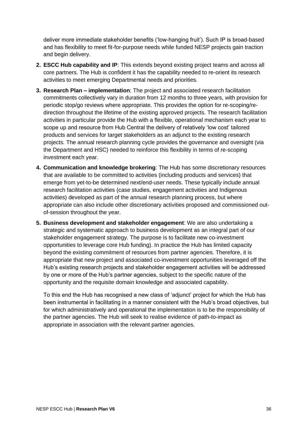deliver more immediate stakeholder benefits ('low-hanging fruit'). Such IP is broad-based and has flexibility to meet fit-for-purpose needs while funded NESP projects gain traction and begin delivery.

- **2. ESCC Hub capability and IP**: This extends beyond existing project teams and across all core partners. The Hub is confident it has the capability needed to re-orient its research activities to meet emerging Departmental needs and priorities.
- **3. Research Plan – implementation**: The project and associated research facilitation commitments collectively vary in duration from 12 months to three years, with provision for periodic stop/go reviews where appropriate. This provides the option for re-scoping/redirection throughout the lifetime of the existing approved projects. The research facilitation activities in particular provide the Hub with a flexible, operational mechanism each year to scope up and resource from Hub Central the delivery of relatively 'low cost' tailored products and services for target stakeholders as an adjunct to the existing research projects. The annual research planning cycle provides the governance and oversight (via the Department and HSC) needed to reinforce this flexibility in terms of re-scoping investment each year.
- **4. Communication and knowledge brokering**: The Hub has some discretionary resources that are available to be committed to activities (including products and services) that emerge from yet-to-be determined next/end-user needs. These typically include annual research facilitation activities (case studies, engagement activities and Indigenous activities) developed as part of the annual research planning process, but where appropriate can also include other discretionary activities proposed and commissioned outof-session throughout the year.
- **5. Business development and stakeholder engagement**: We are also undertaking a strategic and systematic approach to business development as an integral part of our stakeholder engagement strategy. The purpose is to facilitate new co-investment opportunities to leverage core Hub funding). In practice the Hub has limited capacity beyond the existing commitment of resources from partner agencies. Therefore, it is appropriate that new project and associated co-investment opportunities leveraged off the Hub's existing research projects and stakeholder engagement activities will be addressed by one or more of the Hub's partner agencies, subject to the specific nature of the opportunity and the requisite domain knowledge and associated capability.

To this end the Hub has recognised a new class of 'adjunct' project for which the Hub has been instrumental in facilitating in a manner consistent with the Hub's broad objectives, but for which administratively and operational the implementation is to be the responsibility of the partner agencies. The Hub will seek to realise evidence of path-to-impact as appropriate in association with the relevant partner agencies.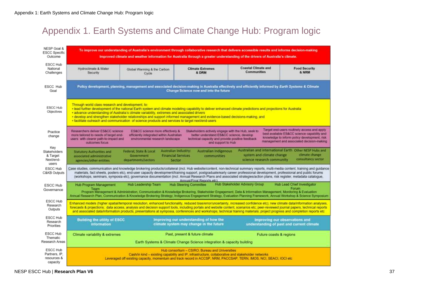## Appendix 1. Earth Systems and Climate Change Hub: Program logic

<span id="page-36-0"></span>

| NESP Goal &<br><b>ESCC Specific</b><br>Outcome        | To improve our understanding of Australia's environment through collaborative research that delivers accessible results and informs decision-making<br>Improved climate and weather information for Australia through a greater understanding of the drivers of Australia's climate.                                                                                                                                                                                                                                                                  |                                                                                                                  |                                                                                                                                                                                                                                                                                                                                                                                                                                                                                                                                                                 |                                                         |                                                                                                                                                                                           |  |  |  |  |  |
|-------------------------------------------------------|-------------------------------------------------------------------------------------------------------------------------------------------------------------------------------------------------------------------------------------------------------------------------------------------------------------------------------------------------------------------------------------------------------------------------------------------------------------------------------------------------------------------------------------------------------|------------------------------------------------------------------------------------------------------------------|-----------------------------------------------------------------------------------------------------------------------------------------------------------------------------------------------------------------------------------------------------------------------------------------------------------------------------------------------------------------------------------------------------------------------------------------------------------------------------------------------------------------------------------------------------------------|---------------------------------------------------------|-------------------------------------------------------------------------------------------------------------------------------------------------------------------------------------------|--|--|--|--|--|
| ESCC Hub<br>National<br>Challenges                    | Hydroclimate & Water<br>Security                                                                                                                                                                                                                                                                                                                                                                                                                                                                                                                      | Global Warming & the Carbon<br>Cycle                                                                             | <b>Climate Extremes</b><br>& DRM                                                                                                                                                                                                                                                                                                                                                                                                                                                                                                                                | Coastal Climate and<br>Communities                      | <b>Food Security</b><br>& NRM                                                                                                                                                             |  |  |  |  |  |
| ESCC Hub<br>Goal                                      | Policy development, planning, management and associated decision-making in Australia effectively and efficiently informed by Earth Systems & Climate<br>Change Science now and into the future                                                                                                                                                                                                                                                                                                                                                        |                                                                                                                  |                                                                                                                                                                                                                                                                                                                                                                                                                                                                                                                                                                 |                                                         |                                                                                                                                                                                           |  |  |  |  |  |
| ESCC Hub<br>Objectives                                | Through world class research and development, to:<br>· lead further development of the national Earth system and climate modeling capability to deliver enhanced climate predictions and projections for Australia<br>· advance understanding of Australia's climate variability, extremes and associated drivers<br>· develop and strengthen stakeholder relationships and support informed management and evidence-based decisions-making, and<br>· facilitate outreach and communication of science products and services to target next/end-users |                                                                                                                  |                                                                                                                                                                                                                                                                                                                                                                                                                                                                                                                                                                 |                                                         |                                                                                                                                                                                           |  |  |  |  |  |
| Practice<br>change                                    | Researchers deliver ES&CC science<br>more tailored to needs of target end-<br>users with clearer path-to-impact and<br>outcomes focus                                                                                                                                                                                                                                                                                                                                                                                                                 | ES&CC science more effectively &<br>efficiently integrated within Australian<br>environmental research landscape | Stakeholders actively engage with the Hub, seek to<br>better understand ES&CC science, develop<br>technical capacity and provide positive feedback<br>and support to Hub                                                                                                                                                                                                                                                                                                                                                                                        |                                                         | Target end-users routinely access and apply.<br>best available ES&CC science capability and<br>knowledge to inform policy development, risk<br>management and associated decision-making. |  |  |  |  |  |
| Key<br>Stakeholders<br>& Target<br>Next/end-<br>users | <b>Statutory Authorities and</b><br>associated administrative<br>agencies/other entities                                                                                                                                                                                                                                                                                                                                                                                                                                                              | Federal, State & Local<br>Government<br>departments/sectors                                                      | Australian industry:<br>Australian Indigenous<br><b>Financial Services</b><br>communities<br><b>Sector</b>                                                                                                                                                                                                                                                                                                                                                                                                                                                      | system and climate change<br>science research community | Australian and international Earth Other NESP Hubs and<br>climate change<br>consultancy sector                                                                                            |  |  |  |  |  |
| ESCC Hub<br>C&KB Outputs                              |                                                                                                                                                                                                                                                                                                                                                                                                                                                                                                                                                       |                                                                                                                  | Case studies, communication and knowledge brokering products/collateral (incl. Hub website/content, non-technical summary reports, multi-media content, training and guidance<br>materials, fact sheets, posters etc), end-user capacity development/training support, postgraduate/early career professional development, professional and public forums<br>(workshops, seminars, symposia etc), governance documentation (incl. Annual Research Plans and associated strategies/action plans, risk register, metadata catalogue,<br>Annual/Final Reports etc) |                                                         |                                                                                                                                                                                           |  |  |  |  |  |
| <b>ESCC Hub</b><br>Governance                         | Hub Program Management<br>Team                                                                                                                                                                                                                                                                                                                                                                                                                                                                                                                        | Hub Leadership Team                                                                                              | <b>Hub Steering Committee</b><br>Program Management & Administration, Communication & Knowledge Brokering, Stakeholder Engagement, Data & Information Management, Monitoring & Evaluation<br>Annual Research Plan, Communication & Knowledge Brokering Strategy, Indigenous Engagement Strategy, Evaluation Planning Framework, Annual Workshop & Science Symposium                                                                                                                                                                                             | Hub Stakeholder Advisory Group                          | Hub Lead Chief Investigator<br>Forum                                                                                                                                                      |  |  |  |  |  |
| ESCC Hub<br>Research<br>Outputs                       |                                                                                                                                                                                                                                                                                                                                                                                                                                                                                                                                                       |                                                                                                                  | Enhanced models (higher spatial/temporal resolution, enhanced functionality, reduced bias/error/uncertainty, increased confidence etc); new climate data/information analyses,<br>forecasts & projections, data access, analysis and decision support tools, including portals and website content, scenarios etc; peer-reviewed journal papers, technical reports<br>and associated data/information products, presentations at symposia, conferences and workshops; technical training materials; project progress and completion reports etc.                |                                                         |                                                                                                                                                                                           |  |  |  |  |  |
| ESCC Hub<br>Research<br>Priorities                    | <b>Building the utility of ESCC</b><br>information                                                                                                                                                                                                                                                                                                                                                                                                                                                                                                    |                                                                                                                  | Improving our understanding of how the<br>climate system may change in the future                                                                                                                                                                                                                                                                                                                                                                                                                                                                               |                                                         | Improving our observations and<br>understanding of past and current climate                                                                                                               |  |  |  |  |  |
| ESCC Hub<br>Thematic<br>Research Areas                | Climate variability & extremes                                                                                                                                                                                                                                                                                                                                                                                                                                                                                                                        |                                                                                                                  | Past, present & future climate                                                                                                                                                                                                                                                                                                                                                                                                                                                                                                                                  | Future coasts & regions                                 |                                                                                                                                                                                           |  |  |  |  |  |
| ESCC Hub<br>Partners, IP.<br>resources &<br>capacity  | Earth Systems & Climate Change Science integration & capacity building<br>Hub consortium - CSIRO, Bureau and Universities<br>Cash/in kind - existing capability and IP, infrastructure, collaborative and stakeholder networks<br>Leveraged off existing capacity, momentum and track record in ACCSP, NRM, PACCSAP, TERN, IMOS, NCI, SEACI, IOCI etc.                                                                                                                                                                                                |                                                                                                                  |                                                                                                                                                                                                                                                                                                                                                                                                                                                                                                                                                                 |                                                         |                                                                                                                                                                                           |  |  |  |  |  |

NESP ESCC Hub | **Research Plan V6** 37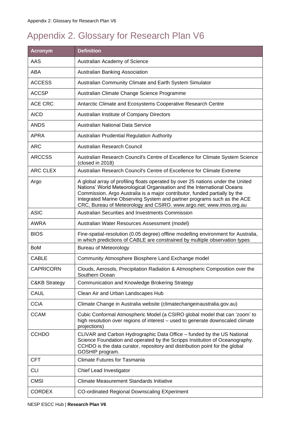## <span id="page-37-0"></span>Appendix 2. Glossary for Research Plan V6

| <b>Acronym</b>           | <b>Definition</b>                                                                                                                                                                                                                                                                                                                                                                          |
|--------------------------|--------------------------------------------------------------------------------------------------------------------------------------------------------------------------------------------------------------------------------------------------------------------------------------------------------------------------------------------------------------------------------------------|
| AAS                      | Australian Academy of Science                                                                                                                                                                                                                                                                                                                                                              |
| <b>ABA</b>               | Australian Banking Association                                                                                                                                                                                                                                                                                                                                                             |
| <b>ACCESS</b>            | Australian Community Climate and Earth System Simulator                                                                                                                                                                                                                                                                                                                                    |
| <b>ACCSP</b>             | Australian Climate Change Science Programme                                                                                                                                                                                                                                                                                                                                                |
| ACE CRC                  | Antarctic Climate and Ecosystems Cooperative Research Centre                                                                                                                                                                                                                                                                                                                               |
| <b>AICD</b>              | Australian Institute of Company Directors                                                                                                                                                                                                                                                                                                                                                  |
| <b>ANDS</b>              | <b>Australian National Data Service</b>                                                                                                                                                                                                                                                                                                                                                    |
| <b>APRA</b>              | Australian Prudential Regulation Authority                                                                                                                                                                                                                                                                                                                                                 |
| <b>ARC</b>               | Australian Research Council                                                                                                                                                                                                                                                                                                                                                                |
| <b>ARCCSS</b>            | Australian Research Council's Centre of Excellence for Climate System Science<br>(closed in 2018)                                                                                                                                                                                                                                                                                          |
| <b>ARC CLEX</b>          | Australian Research Council's Centre of Excellence for Climate Extreme                                                                                                                                                                                                                                                                                                                     |
| Argo                     | A global array of profiling floats operated by over 25 nations under the United<br>Nations' World Meteorological Organisation and the International Oceans<br>Commission. Argo Australia is a major contributor, funded partially by the<br>Integrated Marine Observing System and partner programs such as the ACE<br>CRC, Bureau of Meteorology and CSIRO. www.argo.net; www.imos.org.au |
| <b>ASIC</b>              | Australian Securities and Investments Commission                                                                                                                                                                                                                                                                                                                                           |
| <b>AWRA</b>              | Australian Water Resources Assessment (model)                                                                                                                                                                                                                                                                                                                                              |
| <b>BIOS</b>              | Fine-spatial-resolution (0.05 degree) offline modelling environment for Australia,<br>in which predictions of CABLE are constrained by multiple observation types                                                                                                                                                                                                                          |
| <b>BoM</b>               | <b>Bureau of Meteorology</b>                                                                                                                                                                                                                                                                                                                                                               |
| <b>CABLE</b>             | Community Atmosphere Biosphere Land Exchange model                                                                                                                                                                                                                                                                                                                                         |
| <b>CAPRICORN</b>         | Clouds, Aerosols, Precipitation Radiation & Atmospheric Composition over the<br>Southern Ocean                                                                                                                                                                                                                                                                                             |
| <b>C&amp;KB Strategy</b> | Communication and Knowledge Brokering Strategy                                                                                                                                                                                                                                                                                                                                             |
| <b>CAUL</b>              | Clean Air and Urban Landscapes Hub                                                                                                                                                                                                                                                                                                                                                         |
| <b>CCiA</b>              | Climate Change in Australia website (climatechangeinaustralia.gov.au)                                                                                                                                                                                                                                                                                                                      |
| <b>CCAM</b>              | Cubic Conformal Atmospheric Model (a CSIRO global model that can 'zoom' to<br>high resolution over regions of interest - used to generate downscaled climate<br>projections)                                                                                                                                                                                                               |
| <b>CCHDO</b>             | CLIVAR and Carbon Hydrographic Data Office - funded by the US National<br>Science Foundation and operated by the Scripps Institution of Oceanography.<br>CCHDO is the data curator, repository and distribution point for the global<br>GOSHIP program.                                                                                                                                    |
| <b>CFT</b>               | <b>Climate Futures for Tasmania</b>                                                                                                                                                                                                                                                                                                                                                        |
| <b>CLI</b>               | Chief Lead Investigator                                                                                                                                                                                                                                                                                                                                                                    |
| <b>CMSI</b>              | <b>Climate Measurement Standards Initiative</b>                                                                                                                                                                                                                                                                                                                                            |
| <b>CORDEX</b>            | <b>CO-ordinated Regional Downscaling EXperiment</b>                                                                                                                                                                                                                                                                                                                                        |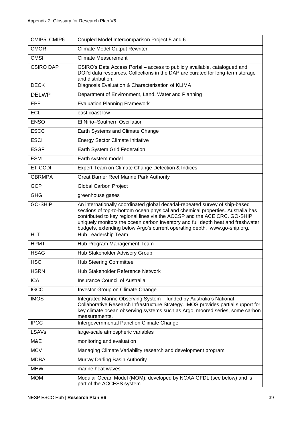| CMIP5, CMIP6     | Coupled Model Intercomparison Project 5 and 6                                                                                                                                                                                                                                                                                                                                                              |
|------------------|------------------------------------------------------------------------------------------------------------------------------------------------------------------------------------------------------------------------------------------------------------------------------------------------------------------------------------------------------------------------------------------------------------|
| <b>CMOR</b>      | <b>Climate Model Output Rewriter</b>                                                                                                                                                                                                                                                                                                                                                                       |
| <b>CMSI</b>      | <b>Climate Measurement</b>                                                                                                                                                                                                                                                                                                                                                                                 |
| <b>CSIRO DAP</b> | CSIRO's Data Access Portal - access to publicly available, catalogued and<br>DOI'd data resources. Collections in the DAP are curated for long-term storage<br>and distribution.                                                                                                                                                                                                                           |
| <b>DECK</b>      | Diagnosis Evaluation & Characterisation of KLIMA                                                                                                                                                                                                                                                                                                                                                           |
| <b>DELWP</b>     | Department of Environment, Land, Water and Planning                                                                                                                                                                                                                                                                                                                                                        |
| <b>EPF</b>       | <b>Evaluation Planning Framework</b>                                                                                                                                                                                                                                                                                                                                                                       |
| <b>ECL</b>       | east coast low                                                                                                                                                                                                                                                                                                                                                                                             |
| <b>ENSO</b>      | El Niño-Southern Oscillation                                                                                                                                                                                                                                                                                                                                                                               |
| <b>ESCC</b>      | Earth Systems and Climate Change                                                                                                                                                                                                                                                                                                                                                                           |
| <b>ESCI</b>      | <b>Energy Sector Climate Initiative</b>                                                                                                                                                                                                                                                                                                                                                                    |
| <b>ESGF</b>      | Earth System Grid Federation                                                                                                                                                                                                                                                                                                                                                                               |
| <b>ESM</b>       | Earth system model                                                                                                                                                                                                                                                                                                                                                                                         |
| ET-CCDI          | Expert Team on Climate Change Detection & Indices                                                                                                                                                                                                                                                                                                                                                          |
| <b>GBRMPA</b>    | <b>Great Barrier Reef Marine Park Authority</b>                                                                                                                                                                                                                                                                                                                                                            |
| <b>GCP</b>       | <b>Global Carbon Project</b>                                                                                                                                                                                                                                                                                                                                                                               |
| <b>GHG</b>       | greenhouse gases                                                                                                                                                                                                                                                                                                                                                                                           |
| <b>GO-SHIP</b>   | An internationally coordinated global decadal-repeated survey of ship-based<br>sections of top-to-bottom ocean physical and chemical properties. Australia has<br>contributed to key regional lines via the ACCSP and the ACE CRC. GO-SHIP<br>uniquely monitors the ocean carbon inventory and full depth heat and freshwater<br>budgets, extending below Argo's current operating depth. www.go-ship.org. |
| <b>HLT</b>       | Hub Leadership Team                                                                                                                                                                                                                                                                                                                                                                                        |
| <b>HPMT</b>      | Hub Program Management Team                                                                                                                                                                                                                                                                                                                                                                                |
| <b>HSAG</b>      | Hub Stakeholder Advisory Group                                                                                                                                                                                                                                                                                                                                                                             |
| <b>HSC</b>       | <b>Hub Steering Committee</b>                                                                                                                                                                                                                                                                                                                                                                              |
| <b>HSRN</b>      | Hub Stakeholder Reference Network                                                                                                                                                                                                                                                                                                                                                                          |
| <b>ICA</b>       | <b>Insurance Council of Australia</b>                                                                                                                                                                                                                                                                                                                                                                      |
| <b>IGCC</b>      | Investor Group on Climate Change                                                                                                                                                                                                                                                                                                                                                                           |
| <b>IMOS</b>      | Integrated Marine Observing System - funded by Australia's National<br>Collaborative Research Infrastructure Strategy. IMOS provides partial support for<br>key climate ocean observing systems such as Argo, moored series, some carbon<br>measurements.                                                                                                                                                  |
| <b>IPCC</b>      | Intergovernmental Panel on Climate Change                                                                                                                                                                                                                                                                                                                                                                  |
| <b>LSAVs</b>     | large-scale atmospheric variables                                                                                                                                                                                                                                                                                                                                                                          |
| M&E              | monitoring and evaluation                                                                                                                                                                                                                                                                                                                                                                                  |
| <b>MCV</b>       | Managing Climate Variability research and development program                                                                                                                                                                                                                                                                                                                                              |
| <b>MDBA</b>      | Murray Darling Basin Authority                                                                                                                                                                                                                                                                                                                                                                             |
| <b>MHW</b>       | marine heat waves                                                                                                                                                                                                                                                                                                                                                                                          |
| <b>MOM</b>       | Modular Ocean Model (MOM), developed by NOAA GFDL (see below) and is<br>part of the ACCESS system.                                                                                                                                                                                                                                                                                                         |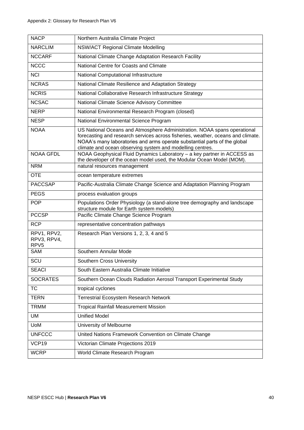| <b>NACP</b>                                    | Northern Australia Climate Project                                                                                                                                                                                                                                                                     |
|------------------------------------------------|--------------------------------------------------------------------------------------------------------------------------------------------------------------------------------------------------------------------------------------------------------------------------------------------------------|
| <b>NARCLIM</b>                                 | <b>NSW/ACT Regional Climate Modelling</b>                                                                                                                                                                                                                                                              |
| <b>NCCARF</b>                                  | National Climate Change Adaptation Research Facility                                                                                                                                                                                                                                                   |
| <b>NCCC</b>                                    | National Centre for Coasts and Climate                                                                                                                                                                                                                                                                 |
| <b>NCI</b>                                     | National Computational Infrastructure                                                                                                                                                                                                                                                                  |
| <b>NCRAS</b>                                   | National Climate Resilience and Adaptation Strategy                                                                                                                                                                                                                                                    |
| <b>NCRIS</b>                                   | National Collaborative Research Infrastructure Strategy                                                                                                                                                                                                                                                |
| <b>NCSAC</b>                                   | National Climate Science Advisory Committee                                                                                                                                                                                                                                                            |
| <b>NERP</b>                                    | National Environmental Research Program (closed)                                                                                                                                                                                                                                                       |
| <b>NESP</b>                                    | National Environmental Science Program                                                                                                                                                                                                                                                                 |
| <b>NOAA</b>                                    | US National Oceans and Atmosphere Administration. NOAA spans operational<br>forecasting and research services across fisheries, weather, oceans and climate.<br>NOAA's many laboratories and arms operate substantial parts of the global<br>climate and ocean observing system and modelling centres. |
| <b>NOAA GFDL</b>                               | NOAA Geophysical Fluid Dynamics Laboratory - a key partner in ACCESS as<br>the developer of the ocean model used, the Modular Ocean Model (MOM).                                                                                                                                                       |
| <b>NRM</b>                                     | natural resources management                                                                                                                                                                                                                                                                           |
| <b>OTE</b>                                     | ocean temperature extremes                                                                                                                                                                                                                                                                             |
| <b>PACCSAP</b>                                 | Pacific-Australia Climate Change Science and Adaptation Planning Program                                                                                                                                                                                                                               |
| <b>PEGS</b>                                    | process evaluation groups                                                                                                                                                                                                                                                                              |
| <b>POP</b>                                     | Populations Order Physiology (a stand-alone tree demography and landscape<br>structure module for Earth system models)                                                                                                                                                                                 |
| <b>PCCSP</b>                                   | Pacific Climate Change Science Program                                                                                                                                                                                                                                                                 |
| <b>RCP</b>                                     | representative concentration pathways                                                                                                                                                                                                                                                                  |
| RPV1, RPV2,<br>RPV3, RPV4,<br>RPV <sub>5</sub> | Research Plan Versions 1, 2, 3, 4 and 5                                                                                                                                                                                                                                                                |
| <b>SAM</b>                                     | Southern Annular Mode                                                                                                                                                                                                                                                                                  |
| SCU                                            | Southern Cross University                                                                                                                                                                                                                                                                              |
| <b>SEACI</b>                                   | South Eastern Australia Climate Initiative                                                                                                                                                                                                                                                             |
| <b>SOCRATES</b>                                | Southern Ocean Clouds Radiation Aerosol Transport Experimental Study                                                                                                                                                                                                                                   |
| <b>TC</b>                                      | tropical cyclones                                                                                                                                                                                                                                                                                      |
| <b>TERN</b>                                    | <b>Terrestrial Ecosystem Research Network</b>                                                                                                                                                                                                                                                          |
| <b>TRMM</b>                                    | <b>Tropical Rainfall Measurement Mission</b>                                                                                                                                                                                                                                                           |
| UM                                             | <b>Unified Model</b>                                                                                                                                                                                                                                                                                   |
| <b>UoM</b>                                     | University of Melbourne                                                                                                                                                                                                                                                                                |
| <b>UNFCCC</b>                                  | United Nations Framework Convention on Climate Change                                                                                                                                                                                                                                                  |
| VCP19                                          | Victorian Climate Projections 2019                                                                                                                                                                                                                                                                     |
| <b>WCRP</b>                                    | World Climate Research Program                                                                                                                                                                                                                                                                         |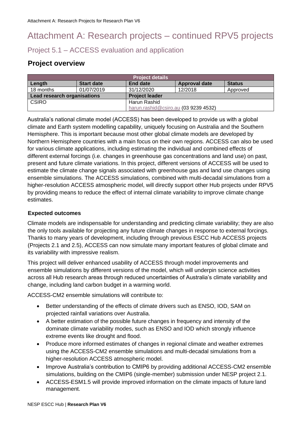## <span id="page-40-0"></span>Attachment A: Research projects – continued RPV5 projects

Project 5.1 – ACCESS evaluation and application

## **Project overview**

| <b>Project details</b>               |                   |                       |                      |               |  |
|--------------------------------------|-------------------|-----------------------|----------------------|---------------|--|
| Length                               | <b>Start date</b> | End date              | <b>Approval date</b> | <b>Status</b> |  |
| 18 months                            | 01/07/2019        | 31/12/2020            | 12/2018              | Approved      |  |
| <b>Lead research organisations</b>   |                   | <b>Project leader</b> |                      |               |  |
| <b>CSIRO</b>                         |                   | Harun Rashid          |                      |               |  |
| harun.rashid@csiro.au (03 9239 4532) |                   |                       |                      |               |  |

Australia's national climate model (ACCESS) has been developed to provide us with a global climate and Earth system modelling capability, uniquely focusing on Australia and the Southern Hemisphere. This is important because most other global climate models are developed by Northern Hemisphere countries with a main focus on their own regions. ACCESS can also be used for various climate applications, including estimating the individual and combined effects of different external forcings (i.e. changes in greenhouse gas concentrations and land use) on past, present and future climate variations. In this project, different versions of ACCESS will be used to estimate the climate change signals associated with greenhouse gas and land use changes using ensemble simulations. The ACCESS simulations, combined with multi-decadal simulations from a higher-resolution ACCESS atmospheric model, will directly support other Hub projects under RPV5 by providing means to reduce the effect of internal climate variability to improve climate change estimates.

#### **Expected outcomes**

Climate models are indispensable for understanding and predicting climate variability; they are also the only tools available for projecting any future climate changes in response to external forcings. Thanks to many years of development, including through previous ESCC Hub ACCESS projects (Projects 2.1 and 2.5), ACCESS can now simulate many important features of global climate and its variability with impressive realism.

This project will deliver enhanced usability of ACCESS through model improvements and ensemble simulations by different versions of the model, which will underpin science activities across all Hub research areas through reduced uncertainties of Australia's climate variability and change, including land carbon budget in a warming world.

ACCESS-CM2 ensemble simulations will contribute to:

- Better understanding of the effects of climate drivers such as ENSO, IOD, SAM on projected rainfall variations over Australia.
- A better estimation of the possible future changes in frequency and intensity of the dominate climate variability modes, such as ENSO and IOD which strongly influence extreme events like drought and flood.
- Produce more informed estimates of changes in regional climate and weather extremes using the ACCESS-CM2 ensemble simulations and multi-decadal simulations from a higher-resolution ACCESS atmospheric model.
- Improve Australia's contribution to CMIP6 by providing additional ACCESS-CM2 ensemble simulations, building on the CMIP6 (single-member) submission under NESP project 2.1.
- ACCESS-ESM1.5 will provide improved information on the climate impacts of future land management.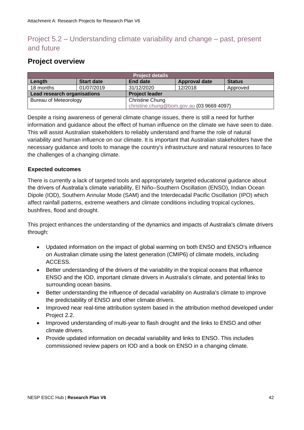## Project 5.2 – Understanding climate variability and change – past, present and future

## **Project overview**

| <b>Project details</b>                                 |                   |                       |                      |               |  |
|--------------------------------------------------------|-------------------|-----------------------|----------------------|---------------|--|
| Length                                                 | <b>Start date</b> | <b>End date</b>       | <b>Approval date</b> | <b>Status</b> |  |
| 18 months                                              | 01/07/2019        | 31/12/2020            | 12/2018              | Approved      |  |
| Lead research organisations                            |                   | <b>Project leader</b> |                      |               |  |
| <b>Bureau of Meteorology</b><br><b>Christine Chung</b> |                   |                       |                      |               |  |
| christine.chung@bom.gov.au (03 9669 4097)              |                   |                       |                      |               |  |

Despite a rising awareness of general climate change issues, there is still a need for further information and guidance about the effect of human influence on the climate we have seen to date. This will assist Australian stakeholders to reliably understand and frame the role of natural variability and human influence on our climate. It is important that Australian stakeholders have the necessary guidance and tools to manage the country's infrastructure and natural resources to face the challenges of a changing climate.

#### **Expected outcomes**

There is currently a lack of targeted tools and appropriately targeted educational guidance about the drivers of Australia's climate variability, El Niño–Southern Oscillation (ENSO), Indian Ocean Dipole (IOD), Southern Annular Mode (SAM) and the Interdecadal Pacific Oscillation (IPO) which affect rainfall patterns, extreme weathers and climate conditions including tropical cyclones, bushfires, flood and drought.

This project enhances the understanding of the dynamics and impacts of Australia's climate drivers through:

- Updated information on the impact of global warming on both ENSO and ENSO's influence on Australian climate using the latest generation (CMIP6) of climate models, including ACCESS.
- Better understanding of the drivers of the variability in the tropical oceans that influence ENSO and the IOD, important climate drivers in Australia's climate, and potential links to surrounding ocean basins.
- Better understanding the influence of decadal variability on Australia's climate to improve the predictability of ENSO and other climate drivers.
- Improved near real-time attribution system based in the attribution method developed under Project 2.2.
- Improved understanding of multi-year to flash drought and the links to ENSO and other climate drivers.
- Provide updated information on decadal variability and links to ENSO. This includes commissioned review papers on IOD and a book on ENSO in a changing climate.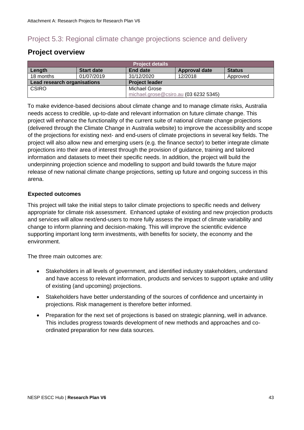## Project 5.3: Regional climate change projections science and delivery

## **Project overview**

| <b>Project details</b>      |                   |                                       |                      |               |  |  |
|-----------------------------|-------------------|---------------------------------------|----------------------|---------------|--|--|
| Length                      | <b>Start date</b> | End date                              | <b>Approval date</b> | <b>Status</b> |  |  |
| 18 months                   | 01/07/2019        | 31/12/2020                            | 12/2018              | Approved      |  |  |
| Lead research organisations |                   | <b>Project leader</b>                 |                      |               |  |  |
| CSIRO                       |                   | Michael Grose                         |                      |               |  |  |
|                             |                   | michael.grose@csiro.au (03 6232 5345) |                      |               |  |  |

To make evidence-based decisions about climate change and to manage climate risks, Australia needs access to credible, up-to-date and relevant information on future climate change. This project will enhance the functionality of the current suite of national climate change projections (delivered through the Climate Change in Australia website) to improve the accessibility and scope of the projections for existing next- and end-users of climate projections in several key fields. The project will also allow new and emerging users (e.g. the finance sector) to better integrate climate projections into their area of interest through the provision of guidance, training and tailored information and datasets to meet their specific needs. In addition, the project will build the underpinning projection science and modelling to support and build towards the future major release of new national climate change projections, setting up future and ongoing success in this arena.

#### **Expected outcomes**

This project will take the initial steps to tailor climate projections to specific needs and delivery appropriate for climate risk assessment. Enhanced uptake of existing and new projection products and services will allow next/end-users to more fully assess the impact of climate variability and change to inform planning and decision-making. This will improve the scientific evidence supporting important long term investments, with benefits for society, the economy and the environment.

The three main outcomes are:

- Stakeholders in all levels of government, and identified industry stakeholders, understand and have access to relevant information, products and services to support uptake and utility of existing (and upcoming) projections.
- Stakeholders have better understanding of the sources of confidence and uncertainty in projections. Risk management is therefore better informed.
- Preparation for the next set of projections is based on strategic planning, well in advance. This includes progress towards development of new methods and approaches and coordinated preparation for new data sources.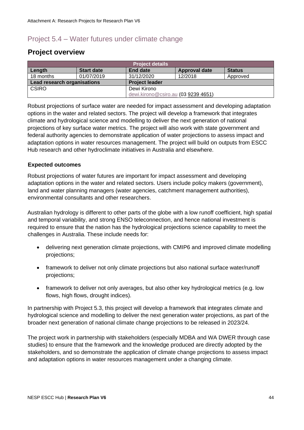## Project 5.4 – Water futures under climate change

### **Project overview**

| <b>Project details</b>      |                   |                       |                                     |               |  |
|-----------------------------|-------------------|-----------------------|-------------------------------------|---------------|--|
| Length                      | <b>Start date</b> | End date              | <b>Approval date</b>                | <b>Status</b> |  |
| 18 months                   | 01/07/2019        | 31/12/2020            | 12/2018                             | Approved      |  |
| Lead research organisations |                   | <b>Project leader</b> |                                     |               |  |
| <b>CSIRO</b><br>Dewi Kirono |                   |                       |                                     |               |  |
|                             |                   |                       | dewi.kirono@csiro.au (03 9239 4651) |               |  |

Robust projections of surface water are needed for impact assessment and developing adaptation options in the water and related sectors. The project will develop a framework that integrates climate and hydrological science and modelling to deliver the next generation of national projections of key surface water metrics. The project will also work with state government and federal authority agencies to demonstrate application of water projections to assess impact and adaptation options in water resources management. The project will build on outputs from ESCC Hub research and other hydroclimate initiatives in Australia and elsewhere.

#### **Expected outcomes**

Robust projections of water futures are important for impact assessment and developing adaptation options in the water and related sectors. Users include policy makers (government), land and water planning managers (water agencies, catchment management authorities), environmental consultants and other researchers.

Australian hydrology is different to other parts of the globe with a low runoff coefficient, high spatial and temporal variability, and strong ENSO teleconnection, and hence national investment is required to ensure that the nation has the hydrological projections science capability to meet the challenges in Australia. These include needs for:

- delivering next generation climate projections, with CMIP6 and improved climate modelling projections;
- framework to deliver not only climate projections but also national surface water/runoff projections;
- framework to deliver not only averages, but also other key hydrological metrics (e.g. low flows, high flows, drought indices).

In partnership with Project 5.3, this project will develop a framework that integrates climate and hydrological science and modelling to deliver the next generation water projections, as part of the broader next generation of national climate change projections to be released in 2023/24.

The project work in partnership with stakeholders (especially MDBA and WA DWER through case studies) to ensure that the framework and the knowledge produced are directly adopted by the stakeholders, and so demonstrate the application of climate change projections to assess impact and adaptation options in water resources management under a changing climate.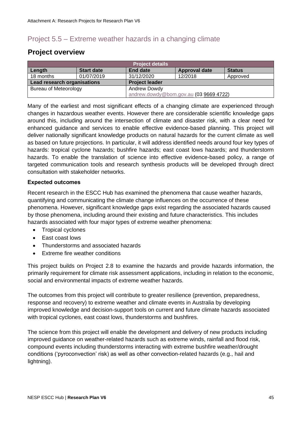## Project 5.5 – Extreme weather hazards in a changing climate

## **Project overview**

| <b>Project details</b>                 |                   |                       |               |               |  |
|----------------------------------------|-------------------|-----------------------|---------------|---------------|--|
| Length                                 | <b>Start date</b> | <b>End date</b>       | Approval date | <b>Status</b> |  |
| 18 months                              | 01/07/2019        | 31/12/2020            | 12/2018       | Approved      |  |
| Lead research organisations            |                   | <b>Project leader</b> |               |               |  |
| <b>Bureau of Meteorology</b>           |                   | <b>Andrew Dowdy</b>   |               |               |  |
| andrew.dowdy@bom.gov.au (03 9669 4722) |                   |                       |               |               |  |

Many of the earliest and most significant effects of a changing climate are experienced through changes in hazardous weather events. However there are considerable scientific knowledge gaps around this, including around the intersection of climate and disaster risk, with a clear need for enhanced guidance and services to enable effective evidence-based planning. This project will deliver nationally significant knowledge products on natural hazards for the current climate as well as based on future projections. In particular, it will address identified needs around four key types of hazards: tropical cyclone hazards; bushfire hazards; east coast lows hazards; and thunderstorm hazards. To enable the translation of science into effective evidence-based policy, a range of targeted communication tools and research synthesis products will be developed through direct consultation with stakeholder networks.

#### **Expected outcomes**

Recent research in the ESCC Hub has examined the phenomena that cause weather hazards, quantifying and communicating the climate change influences on the occurrence of these phenomena. However, significant knowledge gaps exist regarding the associated hazards caused by those phenomena, including around their existing and future characteristics. This includes hazards associated with four major types of extreme weather phenomena:

- Tropical cyclones
- East coast lows
- Thunderstorms and associated hazards
- Extreme fire weather conditions

This project builds on Project 2.8 to examine the hazards and provide hazards information, the primarily requirement for climate risk assessment applications, including in relation to the economic, social and environmental impacts of extreme weather hazards.

The outcomes from this project will contribute to greater resilience (prevention, preparedness, response and recovery) to extreme weather and climate events in Australia by developing improved knowledge and decision-support tools on current and future climate hazards associated with tropical cyclones, east coast lows, thunderstorms and bushfires.

The science from this project will enable the development and delivery of new products including improved guidance on weather-related hazards such as extreme winds, rainfall and flood risk, compound events including thunderstorms interacting with extreme bushfire weather/drought conditions ('pyroconvection' risk) as well as other convection-related hazards (e.g., hail and lightning).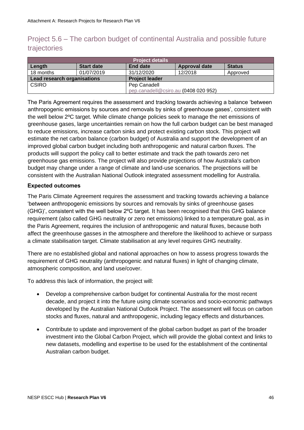## Project 5.6 – The carbon budget of continental Australia and possible future trajectories

| <b>Project details</b>      |                   |                                      |                      |               |  |
|-----------------------------|-------------------|--------------------------------------|----------------------|---------------|--|
| Length                      | <b>Start date</b> | End date                             | <b>Approval date</b> | <b>Status</b> |  |
| 18 months                   | 01/07/2019        | 31/12/2020                           | 12/2018              | Approved      |  |
| Lead research organisations |                   | <b>Project leader</b>                |                      |               |  |
| <b>CSIRO</b>                |                   | Pep Canadell                         |                      |               |  |
|                             |                   | pep.canadell@csiro.au (0408 020 952) |                      |               |  |

The Paris Agreement requires the assessment and tracking towards achieving a balance 'between anthropogenic emissions by sources and removals by sinks of greenhouse gases', consistent with the well below 2ºC target. While climate change policies seek to manage the net emissions of greenhouse gases, large uncertainties remain on how the full carbon budget can be best managed to reduce emissions, increase carbon sinks and protect existing carbon stock. This project will estimate the net carbon balance (carbon budget) of Australia and support the development of an improved global carbon budget including both anthropogenic and natural carbon fluxes. The products will support the policy call to better estimate and track the path towards zero net greenhouse gas emissions. The project will also provide projections of how Australia's carbon budget may change under a range of climate and land-use scenarios. The projections will be consistent with the Australian National Outlook integrated assessment modelling for Australia.

#### **Expected outcomes**

The Paris Climate Agreement requires the assessment and tracking towards achieving *a* balance 'between anthropogenic emissions by sources and removals by sinks of greenhouse gases (GHG)', consistent with the well below 2ºC target. It has been recognised that this GHG balance requirement (also called GHG neutrality or zero net emissions) linked to a temperature goal, as in the Paris Agreement, requires the inclusion of anthropogenic and natural fluxes, because both affect the greenhouse gasses in the atmosphere and therefore the likelihood to achieve or surpass a climate stabilisation target. Climate stabilisation at any level requires GHG neutrality.

There are no established global and national approaches on how to assess progress towards the requirement of GHG neutrality (anthropogenic and natural fluxes) in light of changing climate, atmospheric composition, and land use/cover.

To address this lack of information, the project will:

- Develop a comprehensive carbon budget for continental Australia for the most recent decade, and project it into the future using climate scenarios and socio-economic pathways developed by the Australian National Outlook Project. The assessment will focus on carbon stocks and fluxes, natural and anthropogenic, including legacy effects and disturbances.
- Contribute to update and improvement of the global carbon budget as part of the broader investment into the Global Carbon Project, which will provide the global context and links to new datasets, modelling and expertise to be used for the establishment of the continental Australian carbon budget.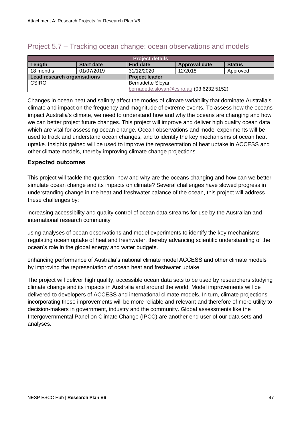| <b>Project details</b>                                      |                          |                                           |                      |               |  |
|-------------------------------------------------------------|--------------------------|-------------------------------------------|----------------------|---------------|--|
| Length                                                      | <b>Start date</b>        | End date                                  | <b>Approval date</b> | <b>Status</b> |  |
| 18 months                                                   | 01/07/2019               | 31/12/2020                                | 12/2018              | Approved      |  |
| <b>Lead research organisations</b><br><b>Project leader</b> |                          |                                           |                      |               |  |
| <b>CSIRO</b>                                                | <b>Bernadette Sloyan</b> |                                           |                      |               |  |
|                                                             |                          | bernadette.sloyan@csiro.au (03 6232 5152) |                      |               |  |

### Project 5.7 – Tracking ocean change: ocean observations and models

Changes in ocean heat and salinity affect the modes of climate variability that dominate Australia's climate and impact on the frequency and magnitude of extreme events. To assess how the oceans impact Australia's climate, we need to understand how and why the oceans are changing and how we can better project future changes. This project will improve and deliver high quality ocean data which are vital for assessing ocean change. Ocean observations and model experiments will be used to track and understand ocean changes, and to identify the key mechanisms of ocean heat uptake. Insights gained will be used to improve the representation of heat uptake in ACCESS and other climate models, thereby improving climate change projections.

#### **Expected outcomes**

This project will tackle the question: how and why are the oceans changing and how can we better simulate ocean change and its impacts on climate? Several challenges have slowed progress in understanding change in the heat and freshwater balance of the ocean, this project will address these challenges by:

increasing accessibility and quality control of ocean data streams for use by the Australian and international research community

using analyses of ocean observations and model experiments to identify the key mechanisms regulating ocean uptake of heat and freshwater, thereby advancing scientific understanding of the ocean's role in the global energy and water budgets.

enhancing performance of Australia's national climate model ACCESS and other climate models by improving the representation of ocean heat and freshwater uptake

The project will deliver high quality, accessible ocean data sets to be used by researchers studying climate change and its impacts in Australia and around the world. Model improvements will be delivered to developers of ACCESS and international climate models. In turn, climate projections incorporating these improvements will be more reliable and relevant and therefore of more utility to decision-makers in government, industry and the community. Global assessments like the Intergovernmental Panel on Climate Change (IPCC) are another end user of our data sets and analyses.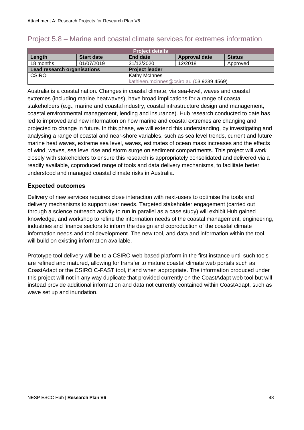| <b>Project details</b>                               |                                          |                      |                      |               |  |
|------------------------------------------------------|------------------------------------------|----------------------|----------------------|---------------|--|
| Length                                               | <b>Start date</b>                        | End date             | <b>Approval date</b> | <b>Status</b> |  |
| 18 months                                            | 01/07/2019                               | 31/12/2020           | 12/2018              | Approved      |  |
| Lead research organisations<br><b>Project leader</b> |                                          |                      |                      |               |  |
| <b>CSIRO</b>                                         |                                          | <b>Kathy McInnes</b> |                      |               |  |
|                                                      | kathleen.mcinnes@csiro.au (03 9239 4569) |                      |                      |               |  |

### Project 5.8 – Marine and coastal climate services for extremes information

Australia is a coastal nation. Changes in coastal climate, via sea-level, waves and coastal extremes (including marine heatwaves), have broad implications for a range of coastal stakeholders (e.g., marine and coastal industry, coastal infrastructure design and management, coastal environmental management, lending and insurance). Hub research conducted to date has led to improved and new information on how marine and coastal extremes are changing and projected to change in future. In this phase, we will extend this understanding, by investigating and analysing a range of coastal and near-shore variables, such as sea level trends, current and future marine heat waves, extreme sea level, waves, estimates of ocean mass increases and the effects of wind, waves, sea level rise and storm surge on sediment compartments. This project will work closely with stakeholders to ensure this research is appropriately consolidated and delivered via a readily available, coproduced range of tools and data delivery mechanisms, to facilitate better understood and managed coastal climate risks in Australia.

#### **Expected outcomes**

Delivery of new services requires close interaction with next-users to optimise the tools and delivery mechanisms to support user needs. Targeted stakeholder engagement (carried out through a science outreach activity to run in parallel as a case study) will exhibit Hub gained knowledge, and workshop to refine the information needs of the coastal management, engineering, industries and finance sectors to inform the design and coproduction of the coastal climate information needs and tool development. The new tool, and data and information within the tool, will build on existing information available.

Prototype tool delivery will be to a CSIRO web-based platform in the first instance until such tools are refined and matured, allowing for transfer to mature coastal climate web portals such as CoastAdapt or the CSIRO C-FAST tool, if and when appropriate. The information produced under this project will not in any way duplicate that provided currently on the CoastAdapt web tool but will instead provide additional information and data not currently contained within CoastAdapt, such as wave set up and inundation.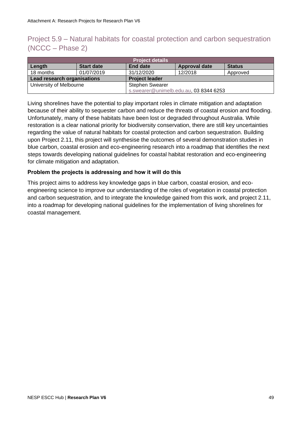## Project 5.9 – Natural habitats for coastal protection and carbon sequestration (NCCC – Phase 2)

| <b>Project details</b>                               |                   |                                        |                      |               |  |
|------------------------------------------------------|-------------------|----------------------------------------|----------------------|---------------|--|
| Length                                               | <b>Start date</b> | <b>End date</b>                        | <b>Approval date</b> | <b>Status</b> |  |
| 18 months                                            | 01/07/2019        | 31/12/2020                             | 12/2018              | Approved      |  |
| Lead research organisations<br><b>Project leader</b> |                   |                                        |                      |               |  |
| University of Melbourne<br><b>Stephen Swearer</b>    |                   |                                        |                      |               |  |
|                                                      |                   | s.swearer@unimelb.edu.au, 03 8344 6253 |                      |               |  |

Living shorelines have the potential to play important roles in climate mitigation and adaptation because of their ability to sequester carbon and reduce the threats of coastal erosion and flooding. Unfortunately, many of these habitats have been lost or degraded throughout Australia. While restoration is a clear national priority for biodiversity conservation, there are still key uncertainties regarding the value of natural habitats for coastal protection and carbon sequestration. Building upon Project 2.11, this project will synthesise the outcomes of several demonstration studies in blue carbon, coastal erosion and eco-engineering research into a roadmap that identifies the next steps towards developing national guidelines for coastal habitat restoration and eco-engineering for climate mitigation and adaptation.

#### **Problem the projects is addressing and how it will do this**

This project aims to address key knowledge gaps in blue carbon, coastal erosion, and ecoengineering science to improve our understanding of the roles of vegetation in coastal protection and carbon sequestration, and to integrate the knowledge gained from this work, and project 2.11, into a roadmap for developing national guidelines for the implementation of living shorelines for coastal management.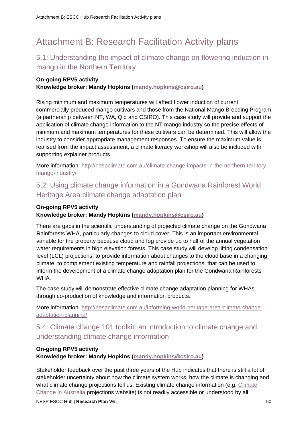## <span id="page-49-0"></span>Attachment B: Research Facilitation Activity plans

## 5.1: Understanding the impact of climate change on flowering induction in mango in the Northern Territory

#### **On-going RPV5 activity**

**Knowledge broker: Mandy Hopkins [\(mandy.hopkins@csiro.au\)](mailto:mandy.hopkins@csiro.au)**

Rising minimum and maximum temperatures will affect flower induction of current commercially produced mango cultivars and those from the National Mango Breeding Program (a partnership between NT, WA, Qld and CSIRO). This case study will provide and support the application of climate change information to the NT mango industry so the precise effects of minimum and maximum temperatures for these cultivars can be determined. This will allow the industry to consider appropriate management responses. To ensure the maximum value is realised from the impact assessment, a climate literacy workshop will also be included with supporting explainer products.

More information: http://nespclimate.com.au/climate-change-impacts-in-the-northern-territorymango-industry/

## 5.2: Using climate change information in a Gondwana Rainforest World Heritage Area climate change adaptation plan

## **On-going RPV5 activity**

#### **Knowledge broker: Mandy Hopkins [\(mandy.hopkins@csiro.au\)](mailto:mandy.hopkins@csiro.au)**

There are gaps in the scientific understanding of projected climate change on the Gondwana Rainforests WHA, particularly changes to cloud cover. This is an important environmental variable for the property because cloud and fog provide up to half of the annual vegetation water requirements in high elevation forests. This case study will develop lifting condensation level (LCL) projections, to provide information about changes to the cloud base in a changing climate, to complement existing temperature and rainfall projections, that can be used to inform the development of a climate change adaptation plan for the Gondwana Rainforests WHA.

The case study will demonstrate effective climate change adaptation planning for WHAs through co-production of knowledge and information products.

More information: [http://nespclimate.com.au/informing-world-heritage-area-climate-change](http://nespclimate.com.au/informing-world-heritage-area-climate-change-adaptation-planning/)[adaptation-planning/](http://nespclimate.com.au/informing-world-heritage-area-climate-change-adaptation-planning/)

## 5.4: Climate change 101 toolkit: an introduction to climate change and understanding climate change information

#### **On-going RPV5 activity**

**Knowledge broker: Mandy Hopkins [\(mandy.hopkins@csiro.au\)](mailto:mandy.hopkins@csiro.au)**

Stakeholder feedback over the past three years of the Hub indicates that there is still a lot of stakeholder uncertainty about how the climate system works, how the climate is changing and what climate change projections tell us. Existing climate change information (e.g. Climate [Change in Australia](https://www.climatechangeinaustralia.gov.au/en/) projections website) is not readily accessible or understood by all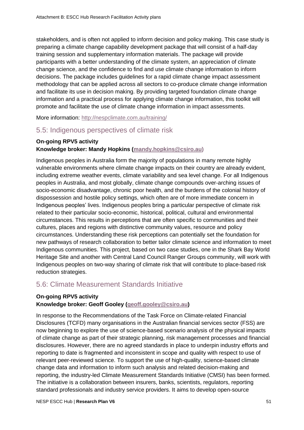stakeholders, and is often not applied to inform decision and policy making. This case study is preparing a climate change capability development package that will consist of a half-day training session and supplementary information materials. The package will provide participants with a better understanding of the climate system, an appreciation of climate change science, and the confidence to find and use climate change information to inform decisions. The package includes guidelines for a rapid climate change impact assessment methodology that can be applied across all sectors to co-produce climate change information and facilitate its use in decision making. By providing targeted foundation climate change information and a practical process for applying climate change information, this toolkit will promote and facilitate the use of climate change information in impact assessments.

More information:<http://nespclimate.com.au/training/>

## 5.5: Indigenous perspectives of climate risk

#### **On-going RPV5 activity**

#### **Knowledge broker: Mandy Hopkins [\(mandy.hopkins@csiro.au\)](mailto:mandy.hopkins@csiro.au)**

Indigenous peoples in Australia form the majority of populations in many remote highly vulnerable environments where climate change impacts on their country are already evident, including extreme weather events, climate variability and sea level change. For all Indigenous peoples in Australia, and most globally, climate change compounds over-arching issues of socio-economic disadvantage, chronic poor health, and the burdens of the colonial history of dispossession and hostile policy settings, which often are of more immediate concern in Indigenous peoples' lives. Indigenous peoples bring a particular perspective of climate risk related to their particular socio-economic, historical, political, cultural and environmental circumstances. This results in perceptions that are often specific to communities and their cultures, places and regions with distinctive community values, resource and policy circumstances. Understanding these risk perceptions can potentially set the foundation for new pathways of research collaboration to better tailor climate science and information to meet Indigenous communities. This project, based on two case studies, one in the Shark Bay World Heritage Site and another with Central Land Council Ranger Groups community, will work with Indigenous peoples on two-way sharing of climate risk that will contribute to place-based risk reduction strategies.

## 5.6: Climate Measurement Standards Initiative

### **On-going RPV5 activity**

#### **Knowledge broker: Geoff Gooley [\(geoff.gooley@csiro.au\)](mailto:geoff.gooley@csiro.au)**

In response to the [Recommendations of the Task Force on Climate-related Financial](https://www.fsb-tcfd.org/wp-content/uploads/2017/06/FINAL-TCFD-Report-062817.pdf)  [Disclosures](https://www.fsb-tcfd.org/wp-content/uploads/2017/06/FINAL-TCFD-Report-062817.pdf) (TCFD) many organisations in the Australian financial services sector (FSS) are now beginning to explore the use of science-based scenario analysis of the physical impacts of climate change as part of their strategic planning, risk management processes and financial disclosures. However, there are no agreed standards in place to underpin industry efforts and reporting to date is fragmented and inconsistent in scope and quality with respect to use of relevant peer-reviewed science. To support the use of high-quality, science-based climate change data and information to inform such analysis and related decision-making and reporting, the industry-led Climate Measurement Standards Initiative (CMSI) has been formed. The initiative is a collaboration between insurers, banks, scientists, regulators, reporting standard professionals and industry service providers. It aims to develop open-source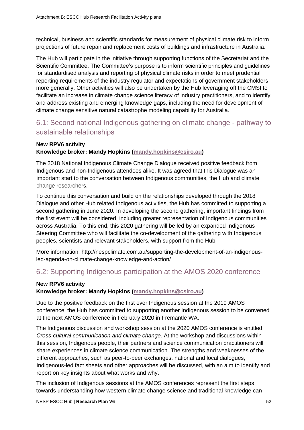technical, business and scientific standards for measurement of physical climate risk to inform projections of future repair and replacement costs of buildings and infrastructure in Australia.

The Hub will participate in the initiative through supporting functions of the Secretariat and the Scientific Committee. The Committee's purpose is to inform scientific principles and guidelines for standardised analysis and reporting of physical climate risks in order to meet prudential reporting requirements of the industry regulator and expectations of government stakeholders more generally. Other activities will also be undertaken by the Hub leveraging off the CMSI to facilitate an increase in climate change science literacy of industry practitioners, and to identify and address existing and emerging knowledge gaps, including the need for development of climate change sensitive natural catastrophe modeling capability for Australia.

## 6.1: Second national Indigenous gathering on climate change - pathway to sustainable relationships

#### **New RPV6 activity Knowledge broker: Mandy Hopkins [\(mandy.hopkins@csiro.au\)](mailto:mandy.hopkins@csiro.au)**

The 2018 National Indigenous Climate Change Dialogue received positive feedback from Indigenous and non-Indigenous attendees alike. It was agreed that this Dialogue was an important start to the conversation between Indigenous communities, the Hub and climate change researchers.

To continue this conversation and build on the relationships developed through the 2018 Dialogue and other Hub related Indigenous activities, the Hub has committed to supporting a second gathering in June 2020. In developing the second gathering, important findings from the first event will be considered, including greater representation of Indigenous communities across Australia. To this end, this 2020 gathering will be led by an expanded Indigenous Steering Committee who will facilitate the co-development of the gathering with Indigenous peoples, scientists and relevant stakeholders, with support from the Hub

More information: http://nespclimate.com.au/supporting-the-development-of-an-indigenousled-agenda-on-climate-change-knowledge-and-action/

## 6.2: Supporting Indigenous participation at the AMOS 2020 conference

#### **New RPV6 activity**

#### **Knowledge broker: Mandy Hopkins [\(mandy.hopkins@csiro.au\)](mailto:mandy.hopkins@csiro.au)**

Due to the positive feedback on the first ever Indigenous session at the 2019 AMOS conference, the Hub has committed to supporting another Indigenous session to be convened at the next AMOS conference in February 2020 in Fremantle WA.

The Indigenous discussion and workshop session at the 2020 AMOS conference is entitled *Cross-cultural communication and climate change*. At the workshop and discussions within this session, Indigenous people, their partners and science communication practitioners will share experiences in climate science communication. The strengths and weaknesses of the different approaches, such as peer-to-peer exchanges, national and local dialogues, Indigenous-led fact sheets and other approaches will be discussed, with an aim to identify and report on key insights about what works and why.

The inclusion of Indigenous sessions at the AMOS conferences represent the first steps towards understanding how western climate change science and traditional knowledge can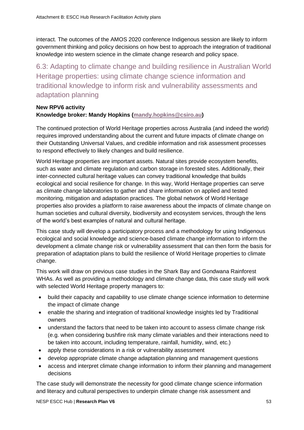interact. The outcomes of the AMOS 2020 conference Indigenous session are likely to inform government thinking and policy decisions on how best to approach the integration of traditional knowledge into western science in the climate change research and policy space.

6.3: Adapting to climate change and building resilience in Australian World Heritage properties: using climate change science information and traditional knowledge to inform risk and vulnerability assessments and adaptation planning

#### **New RPV6 activity Knowledge broker: Mandy Hopkins [\(mandy.hopkins@csiro.au\)](mailto:mandy.hopkins@csiro.au)**

The continued protection of World Heritage properties across Australia (and indeed the world) requires improved understanding about the current and future impacts of climate change on their Outstanding Universal Values, and credible information and risk assessment processes to respond effectively to likely changes and build resilience.

World Heritage properties are important assets. Natural sites provide ecosystem benefits, such as water and climate regulation and carbon storage in forested sites. Additionally, their inter-connected cultural heritage values can convey traditional knowledge that builds ecological and social resilience for change. In this way, World Heritage properties can serve as climate change laboratories to gather and share information on applied and tested monitoring, mitigation and adaptation practices. The global network of World Heritage properties also provides a platform to raise awareness about the impacts of climate change on human societies and cultural diversity, biodiversity and ecosystem services, through the lens of the world's best examples of natural and cultural heritage.

This case study will develop a participatory process and a methodology for using Indigenous ecological and social knowledge and science-based climate change information to inform the development a climate change risk or vulnerability assessment that can then form the basis for preparation of adaptation plans to build the resilience of World Heritage properties to climate change.

This work will draw on previous case studies in the Shark Bay and Gondwana Rainforest WHAs. As well as providing a methodology and climate change data, this case study will work with selected World Heritage property managers to:

- build their capacity and capability to use climate change science information to determine the impact of climate change
- enable the sharing and integration of traditional knowledge insights led by Traditional owners
- understand the factors that need to be taken into account to assess climate change risk (e.g. when considering bushfire risk many climate variables and their interactions need to be taken into account, including temperature, rainfall, humidity, wind, etc.)
- apply these considerations in a risk or vulnerability assessment
- develop appropriate climate change adaptation planning and management questions
- access and interpret climate change information to inform their planning and management decisions

The case study will demonstrate the necessity for good climate change science information and literacy and cultural perspectives to underpin climate change risk assessment and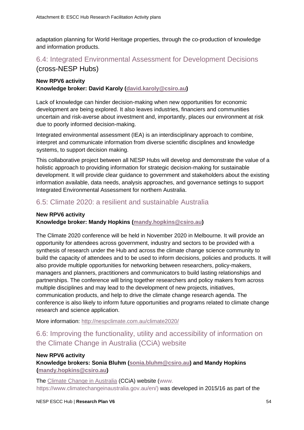adaptation planning for World Heritage properties, through the co-production of knowledge and information products.

## 6.4: Integrated Environmental Assessment for Development Decisions (cross-NESP Hubs)

#### **New RPV6 activity Knowledge broker: David Karoly [\(david.karoly@csiro.au\)](mailto:david.karoly@csiro.au)**

Lack of knowledge can hinder decision-making when new opportunities for economic development are being explored. It also leaves industries, financiers and communities uncertain and risk-averse about investment and, importantly, places our environment at risk due to poorly informed decision-making.

Integrated environmental assessment (IEA) is an interdisciplinary approach to combine, interpret and communicate information from diverse scientific disciplines and knowledge systems, to support decision making.

This collaborative project between all NESP Hubs will develop and demonstrate the value of a holistic approach to providing information for strategic decision-making for sustainable development. It will provide clear guidance to government and stakeholders about the existing information available, data needs, analysis approaches, and governance settings to support Integrated Environmental Assessment for northern Australia.

### 6.5: Climate 2020: a resilient and sustainable Australia

#### **New RPV6 activity**

#### **Knowledge broker: Mandy Hopkins [\(mandy.hopkins@csiro.au\)](mailto:mandy.hopkins@csiro.au)**

The Climate 2020 conference will be held in November 2020 in Melbourne. It will provide an opportunity for attendees across government, industry and sectors to be provided with a synthesis of research under the Hub and across the climate change science community to build the capacity of attendees and to be used to inform decisions, policies and products. It will also provide multiple opportunities for networking between researchers, policy-makers, managers and planners, practitioners and communicators to build lasting relationships and partnerships. The conference will bring together researchers and policy makers from across multiple disciplines and may lead to the development of new projects, initiatives, communication products, and help to drive the climate change research agenda. The conference is also likely to inform future opportunities and programs related to climate change research and science application.

More information:<http://nespclimate.com.au/climate2020/>

## 6.6: Improving the functionality, utility and accessibility of information on the Climate Change in Australia (CCiA) website

#### **New RPV6 activity**

**Knowledge brokers: Sonia Bluhm [\(sonia.bluhm@csiro.au\)](mailto:sonia.bluhm@csiro.au) and Mandy Hopkins [\(mandy.hopkins@csiro.au\)](mailto:mandy.hopkins@csiro.au)** 

The [Climate Change in Australia](https://www.climatechangeinaustralia.gov.au/en/) (CCiA) website (www. https://www.climatechangeinaustralia.gov.au/en/) was developed in 2015/16 as part of the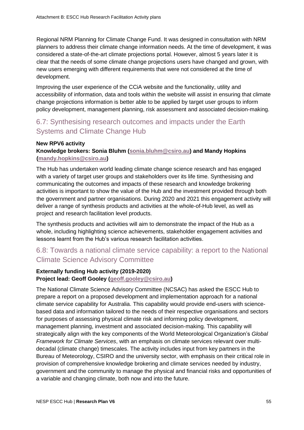Regional NRM Planning for Climate Change Fund. It was designed in consultation with NRM planners to address their climate change information needs. At the time of development, it was considered a state-of-the-art climate projections portal. However, almost 5 years later it is clear that the needs of some climate change projections users have changed and grown, with new users emerging with different requirements that were not considered at the time of development.

Improving the user experience of the CCiA website and the functionality, utility and accessibility of information, data and tools within the website will assist in ensuring that climate change projections information is better able to be applied by target user groups to inform policy development, management planning, risk assessment and associated decision-making.

## 6.7: Synthesising research outcomes and impacts under the Earth Systems and Climate Change Hub

#### **New RPV6 activity Knowledge brokers: Sonia Bluhm [\(sonia.bluhm@csiro.au\)](mailto:sonia.bluhm@csiro.au) and Mandy Hopkins [\(mandy.hopkins@csiro.au\)](mailto:mandy.hopkins@csiro.au)**

The Hub has undertaken world leading climate change science research and has engaged with a variety of target user groups and stakeholders over its life time. Synthesising and communicating the outcomes and impacts of these research and knowledge brokering activities is important to show the value of the Hub and the investment provided through both the government and partner organisations. During 2020 and 2021 this engagement activity will deliver a range of synthesis products and activities at the whole-of-Hub level, as well as project and research facilitation level products.

The synthesis products and activities will aim to demonstrate the impact of the Hub as a whole, including highlighting science achievements, stakeholder engagement activities and lessons learnt from the Hub's various research facilitation activities.

## 6.8: Towards a national climate service capability: a report to the National Climate Science Advisory Committee

#### **Externally funding Hub activity (2019-2020) Project lead: Geoff Gooley [\(geoff.gooley@csiro.au\)](mailto:geoff.gooley@csiro.au)**

The National Climate Science Advisory Committee (NCSAC) has asked the ESCC Hub to prepare a report on a proposed development and implementation approach for a national climate service capability for Australia. This capability would provide end-users with sciencebased data and information tailored to the needs of their respective organisations and sectors for purposes of assessing physical climate risk and informing policy development, management planning, investment and associated decision-making. This capability will strategically align with the key components of the World Meteorological Organization's *Global Framework for Climate Services*, with an emphasis on climate services relevant over multidecadal (climate change) timescales. The activity includes input from key partners in the Bureau of Meteorology, CSIRO and the university sector, with emphasis on their critical role in provision of comprehensive knowledge brokering and climate services needed by industry, government and the community to manage the physical and financial risks and opportunities of a variable and changing climate, both now and into the future.